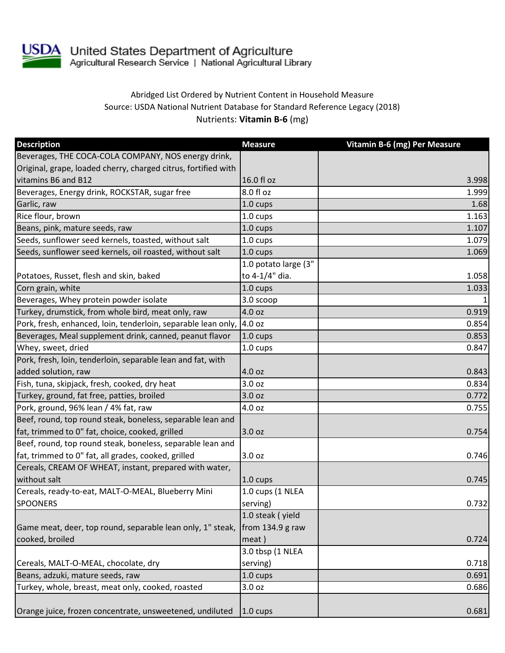

## Abridged List Ordered by Nutrient Content in Household Measure Source: USDA National Nutrient Database for Standard Reference Legacy (2018) Nutrients: **Vitamin B-6** (mg)

| <b>Description</b>                                                    | <b>Measure</b>       | Vitamin B-6 (mg) Per Measure |
|-----------------------------------------------------------------------|----------------------|------------------------------|
| Beverages, THE COCA-COLA COMPANY, NOS energy drink,                   |                      |                              |
| Original, grape, loaded cherry, charged citrus, fortified with        |                      |                              |
| vitamins B6 and B12                                                   | 16.0 fl oz           | 3.998                        |
| Beverages, Energy drink, ROCKSTAR, sugar free                         | 8.0 fl oz            | 1.999                        |
| Garlic, raw                                                           | 1.0 cups             | 1.68                         |
| Rice flour, brown                                                     | 1.0 cups             | 1.163                        |
| Beans, pink, mature seeds, raw                                        | 1.0 cups             | 1.107                        |
| Seeds, sunflower seed kernels, toasted, without salt                  | 1.0 cups             | 1.079                        |
| Seeds, sunflower seed kernels, oil roasted, without salt              | $1.0 \text{ cups}$   | 1.069                        |
|                                                                       | 1.0 potato large (3" |                              |
| Potatoes, Russet, flesh and skin, baked                               | to 4-1/4" dia.       | 1.058                        |
| Corn grain, white                                                     | $1.0 \text{ cups}$   | 1.033                        |
| Beverages, Whey protein powder isolate                                | 3.0 scoop            |                              |
| Turkey, drumstick, from whole bird, meat only, raw                    | 4.0 oz               | 0.919                        |
| Pork, fresh, enhanced, loin, tenderloin, separable lean only,  4.0 oz |                      | 0.854                        |
| Beverages, Meal supplement drink, canned, peanut flavor               | 1.0 cups             | 0.853                        |
| Whey, sweet, dried                                                    | 1.0 cups             | 0.847                        |
| Pork, fresh, loin, tenderloin, separable lean and fat, with           |                      |                              |
| added solution, raw                                                   | 4.0 oz               | 0.843                        |
| Fish, tuna, skipjack, fresh, cooked, dry heat                         | 3.0 oz               | 0.834                        |
| Turkey, ground, fat free, patties, broiled                            | 3.0 oz               | 0.772                        |
| Pork, ground, 96% lean / 4% fat, raw                                  | 4.0 oz               | 0.755                        |
| Beef, round, top round steak, boneless, separable lean and            |                      |                              |
| fat, trimmed to 0" fat, choice, cooked, grilled                       | 3.0 oz               | 0.754                        |
| Beef, round, top round steak, boneless, separable lean and            |                      |                              |
| fat, trimmed to 0" fat, all grades, cooked, grilled                   | 3.0 oz               | 0.746                        |
| Cereals, CREAM OF WHEAT, instant, prepared with water,                |                      |                              |
| without salt                                                          | $1.0 \text{ cups}$   | 0.745                        |
| Cereals, ready-to-eat, MALT-O-MEAL, Blueberry Mini                    | 1.0 cups (1 NLEA     |                              |
| <b>SPOONERS</b>                                                       | serving)             | 0.732                        |
|                                                                       | 1.0 steak (yield     |                              |
| Game meat, deer, top round, separable lean only, 1" steak,            | from $134.9$ g raw   |                              |
| cooked, broiled                                                       | meat)                | 0.724                        |
|                                                                       | 3.0 tbsp (1 NLEA     |                              |
| Cereals, MALT-O-MEAL, chocolate, dry                                  | serving)             | 0.718                        |
| Beans, adzuki, mature seeds, raw                                      | 1.0 cups             | 0.691                        |
| Turkey, whole, breast, meat only, cooked, roasted                     | 3.0 oz               | 0.686                        |
|                                                                       |                      |                              |
| Orange juice, frozen concentrate, unsweetened, undiluted              | $1.0 \text{ cups}$   | 0.681                        |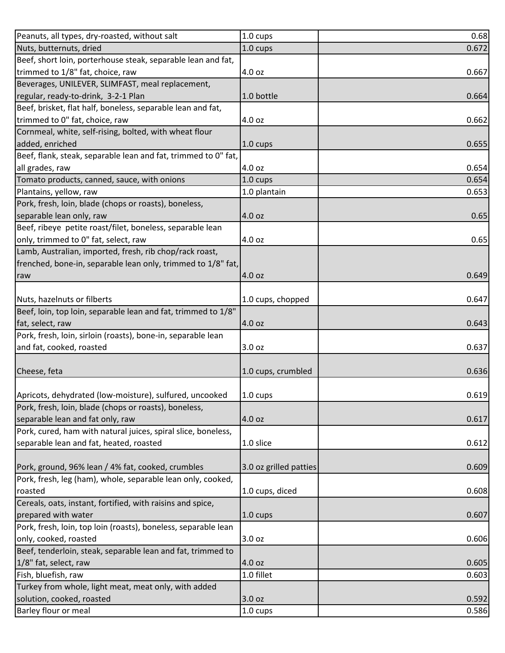| Peanuts, all types, dry-roasted, without salt                  | 1.0 cups               | 0.68  |
|----------------------------------------------------------------|------------------------|-------|
| Nuts, butternuts, dried                                        | 1.0 cups               | 0.672 |
| Beef, short loin, porterhouse steak, separable lean and fat,   |                        |       |
| trimmed to 1/8" fat, choice, raw                               | 4.0 oz                 | 0.667 |
| Beverages, UNILEVER, SLIMFAST, meal replacement,               |                        |       |
| regular, ready-to-drink, 3-2-1 Plan                            | 1.0 bottle             | 0.664 |
| Beef, brisket, flat half, boneless, separable lean and fat,    |                        |       |
| trimmed to 0" fat, choice, raw                                 | 4.0 oz                 | 0.662 |
| Cornmeal, white, self-rising, bolted, with wheat flour         |                        |       |
| added, enriched                                                | 1.0 cups               | 0.655 |
| Beef, flank, steak, separable lean and fat, trimmed to 0" fat, |                        |       |
| all grades, raw                                                | 4.0 oz                 | 0.654 |
| Tomato products, canned, sauce, with onions                    | 1.0 cups               | 0.654 |
| Plantains, yellow, raw                                         | 1.0 plantain           | 0.653 |
| Pork, fresh, loin, blade (chops or roasts), boneless,          |                        |       |
| separable lean only, raw                                       | 4.0 oz                 | 0.65  |
| Beef, ribeye petite roast/filet, boneless, separable lean      |                        |       |
| only, trimmed to 0" fat, select, raw                           | 4.0 oz                 | 0.65  |
| Lamb, Australian, imported, fresh, rib chop/rack roast,        |                        |       |
| frenched, bone-in, separable lean only, trimmed to 1/8" fat,   |                        |       |
| raw                                                            | 4.0 oz                 | 0.649 |
|                                                                |                        |       |
| Nuts, hazelnuts or filberts                                    | 1.0 cups, chopped      | 0.647 |
| Beef, loin, top loin, separable lean and fat, trimmed to 1/8"  |                        |       |
| fat, select, raw                                               | 4.0 oz                 | 0.643 |
| Pork, fresh, loin, sirloin (roasts), bone-in, separable lean   |                        |       |
| and fat, cooked, roasted                                       | 3.0 oz                 | 0.637 |
|                                                                |                        |       |
| Cheese, feta                                                   | 1.0 cups, crumbled     | 0.636 |
|                                                                |                        |       |
| Apricots, dehydrated (low-moisture), sulfured, uncooked        | 1.0 cups               | 0.619 |
| Pork, fresh, loin, blade (chops or roasts), boneless,          |                        |       |
| separable lean and fat only, raw                               | 4.0 oz                 | 0.617 |
| Pork, cured, ham with natural juices, spiral slice, boneless,  |                        |       |
| separable lean and fat, heated, roasted                        | 1.0 slice              | 0.612 |
|                                                                |                        |       |
| Pork, ground, 96% lean / 4% fat, cooked, crumbles              | 3.0 oz grilled patties | 0.609 |
| Pork, fresh, leg (ham), whole, separable lean only, cooked,    |                        |       |
| roasted                                                        | 1.0 cups, diced        | 0.608 |
| Cereals, oats, instant, fortified, with raisins and spice,     |                        |       |
| prepared with water                                            | 1.0 cups               | 0.607 |
| Pork, fresh, loin, top loin (roasts), boneless, separable lean |                        |       |
| only, cooked, roasted                                          | 3.0 oz                 | 0.606 |
| Beef, tenderloin, steak, separable lean and fat, trimmed to    |                        |       |
| 1/8" fat, select, raw                                          | 4.0 oz                 | 0.605 |
| Fish, bluefish, raw                                            | 1.0 fillet             | 0.603 |
| Turkey from whole, light meat, meat only, with added           |                        |       |
| solution, cooked, roasted                                      | 3.0 oz                 | 0.592 |
| Barley flour or meal                                           | 1.0 cups               | 0.586 |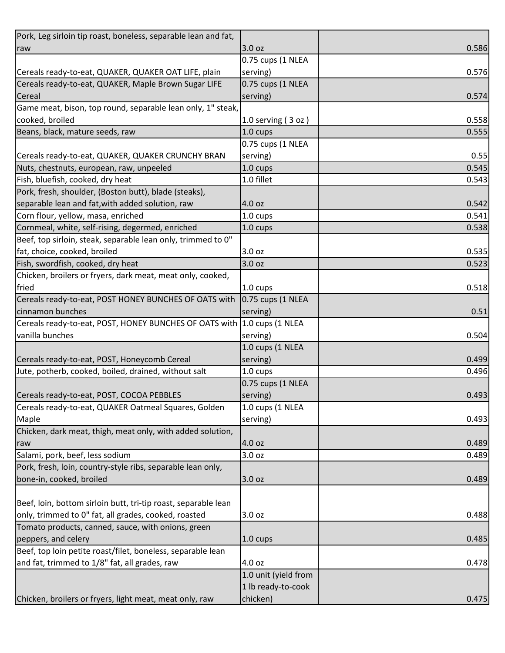| Pork, Leg sirloin tip roast, boneless, separable lean and fat,          |                      |       |
|-------------------------------------------------------------------------|----------------------|-------|
| raw                                                                     | 3.0 oz               | 0.586 |
|                                                                         | 0.75 cups (1 NLEA    |       |
| Cereals ready-to-eat, QUAKER, QUAKER OAT LIFE, plain                    | serving)             | 0.576 |
| Cereals ready-to-eat, QUAKER, Maple Brown Sugar LIFE                    | 0.75 cups (1 NLEA    |       |
| Cereal                                                                  | serving)             | 0.574 |
| Game meat, bison, top round, separable lean only, 1" steak,             |                      |       |
| cooked, broiled                                                         | 1.0 serving $(3 oz)$ | 0.558 |
| Beans, black, mature seeds, raw                                         | 1.0 cups             | 0.555 |
|                                                                         | 0.75 cups (1 NLEA    |       |
| Cereals ready-to-eat, QUAKER, QUAKER CRUNCHY BRAN                       | serving)             | 0.55  |
| Nuts, chestnuts, european, raw, unpeeled                                | 1.0 cups             | 0.545 |
| Fish, bluefish, cooked, dry heat                                        | 1.0 fillet           | 0.543 |
| Pork, fresh, shoulder, (Boston butt), blade (steaks),                   |                      |       |
| separable lean and fat, with added solution, raw                        | 4.0 oz               | 0.542 |
| Corn flour, yellow, masa, enriched                                      | 1.0 cups             | 0.541 |
| Cornmeal, white, self-rising, degermed, enriched                        | 1.0 cups             | 0.538 |
| Beef, top sirloin, steak, separable lean only, trimmed to 0"            |                      |       |
| fat, choice, cooked, broiled                                            | 3.0 oz               | 0.535 |
| Fish, swordfish, cooked, dry heat                                       | 3.0 oz               | 0.523 |
| Chicken, broilers or fryers, dark meat, meat only, cooked,              |                      |       |
| fried                                                                   | $1.0 \text{ cups}$   | 0.518 |
| Cereals ready-to-eat, POST HONEY BUNCHES OF OATS with                   | 0.75 cups (1 NLEA    |       |
| cinnamon bunches                                                        | serving)             | 0.51  |
| Cereals ready-to-eat, POST, HONEY BUNCHES OF OATS with 1.0 cups (1 NLEA |                      |       |
| vanilla bunches                                                         | serving)             | 0.504 |
|                                                                         | 1.0 cups (1 NLEA     |       |
| Cereals ready-to-eat, POST, Honeycomb Cereal                            | serving)             | 0.499 |
| Jute, potherb, cooked, boiled, drained, without salt                    | 1.0 cups             | 0.496 |
|                                                                         | 0.75 cups (1 NLEA    |       |
| Cereals ready-to-eat, POST, COCOA PEBBLES                               | serving)             | 0.493 |
| Cereals ready-to-eat, QUAKER Oatmeal Squares, Golden                    | 1.0 cups (1 NLEA     |       |
| Maple                                                                   | serving)             | 0.493 |
| Chicken, dark meat, thigh, meat only, with added solution,              |                      |       |
| raw                                                                     | 4.0 oz               | 0.489 |
| Salami, pork, beef, less sodium                                         | 3.0 oz               | 0.489 |
| Pork, fresh, loin, country-style ribs, separable lean only,             |                      |       |
| bone-in, cooked, broiled                                                | 3.0 oz               | 0.489 |
|                                                                         |                      |       |
| Beef, loin, bottom sirloin butt, tri-tip roast, separable lean          |                      |       |
| only, trimmed to 0" fat, all grades, cooked, roasted                    | 3.0 oz               | 0.488 |
| Tomato products, canned, sauce, with onions, green                      |                      |       |
| peppers, and celery                                                     | $1.0 \text{ cups}$   | 0.485 |
| Beef, top loin petite roast/filet, boneless, separable lean             |                      |       |
| and fat, trimmed to 1/8" fat, all grades, raw                           | 4.0 oz               | 0.478 |
|                                                                         | 1.0 unit (yield from |       |
|                                                                         | 1 lb ready-to-cook   |       |
| Chicken, broilers or fryers, light meat, meat only, raw                 | chicken)             | 0.475 |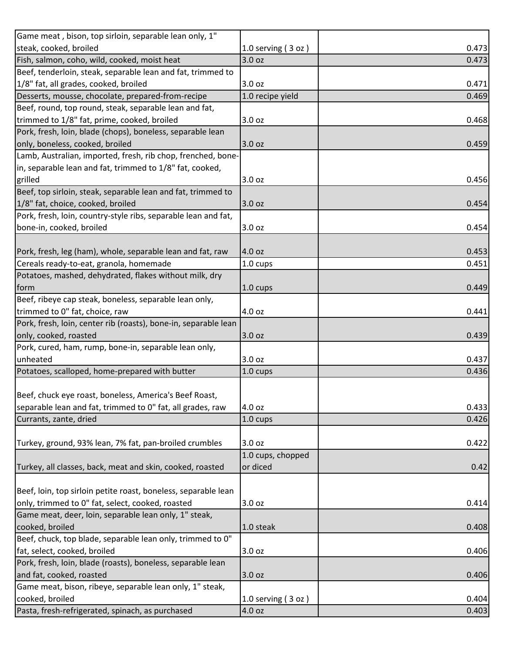| Game meat, bison, top sirloin, separable lean only, 1"          |                      |       |
|-----------------------------------------------------------------|----------------------|-------|
| steak, cooked, broiled                                          | 1.0 serving $(3 oz)$ | 0.473 |
| Fish, salmon, coho, wild, cooked, moist heat                    | 3.0 <sub>oz</sub>    | 0.473 |
| Beef, tenderloin, steak, separable lean and fat, trimmed to     |                      |       |
| 1/8" fat, all grades, cooked, broiled                           | 3.0 <sub>oz</sub>    | 0.471 |
| Desserts, mousse, chocolate, prepared-from-recipe               | 1.0 recipe yield     | 0.469 |
| Beef, round, top round, steak, separable lean and fat,          |                      |       |
| trimmed to 1/8" fat, prime, cooked, broiled                     | 3.0 oz               | 0.468 |
| Pork, fresh, loin, blade (chops), boneless, separable lean      |                      |       |
| only, boneless, cooked, broiled                                 | 3.0 oz               | 0.459 |
| Lamb, Australian, imported, fresh, rib chop, frenched, bone-    |                      |       |
| in, separable lean and fat, trimmed to 1/8" fat, cooked,        |                      |       |
| grilled                                                         | 3.0 oz               | 0.456 |
| Beef, top sirloin, steak, separable lean and fat, trimmed to    |                      |       |
| 1/8" fat, choice, cooked, broiled                               | 3.0 oz               | 0.454 |
| Pork, fresh, loin, country-style ribs, separable lean and fat,  |                      |       |
| bone-in, cooked, broiled                                        | 3.0 oz               | 0.454 |
|                                                                 |                      |       |
| Pork, fresh, leg (ham), whole, separable lean and fat, raw      | 4.0 oz               | 0.453 |
| Cereals ready-to-eat, granola, homemade                         | $1.0 \text{ cups}$   | 0.451 |
| Potatoes, mashed, dehydrated, flakes without milk, dry          |                      |       |
| form                                                            | $1.0 \text{ cups}$   | 0.449 |
| Beef, ribeye cap steak, boneless, separable lean only,          |                      |       |
| trimmed to 0" fat, choice, raw                                  | 4.0 oz               | 0.441 |
| Pork, fresh, loin, center rib (roasts), bone-in, separable lean |                      |       |
| only, cooked, roasted                                           | 3.0 oz               | 0.439 |
| Pork, cured, ham, rump, bone-in, separable lean only,           |                      |       |
| unheated                                                        | 3.0 oz               | 0.437 |
| Potatoes, scalloped, home-prepared with butter                  | 1.0 cups             | 0.436 |
|                                                                 |                      |       |
| Beef, chuck eye roast, boneless, America's Beef Roast,          |                      |       |
| separable lean and fat, trimmed to 0" fat, all grades, raw      | 4.0 oz               | 0.433 |
| Currants, zante, dried                                          | 1.0 cups             | 0.426 |
|                                                                 |                      |       |
| Turkey, ground, 93% lean, 7% fat, pan-broiled crumbles          | 3.0 oz               | 0.422 |
|                                                                 | 1.0 cups, chopped    |       |
| Turkey, all classes, back, meat and skin, cooked, roasted       | or diced             | 0.42  |
|                                                                 |                      |       |
| Beef, loin, top sirloin petite roast, boneless, separable lean  |                      |       |
| only, trimmed to 0" fat, select, cooked, roasted                | 3.0 oz               | 0.414 |
| Game meat, deer, loin, separable lean only, 1" steak,           |                      |       |
| cooked, broiled                                                 | 1.0 steak            | 0.408 |
| Beef, chuck, top blade, separable lean only, trimmed to 0"      |                      |       |
| fat, select, cooked, broiled                                    | 3.0 oz               | 0.406 |
| Pork, fresh, loin, blade (roasts), boneless, separable lean     |                      |       |
| and fat, cooked, roasted                                        | 3.0 oz               | 0.406 |
| Game meat, bison, ribeye, separable lean only, 1" steak,        |                      |       |
| cooked, broiled                                                 | 1.0 serving $(3 oz)$ | 0.404 |
| Pasta, fresh-refrigerated, spinach, as purchased                | 4.0 oz               | 0.403 |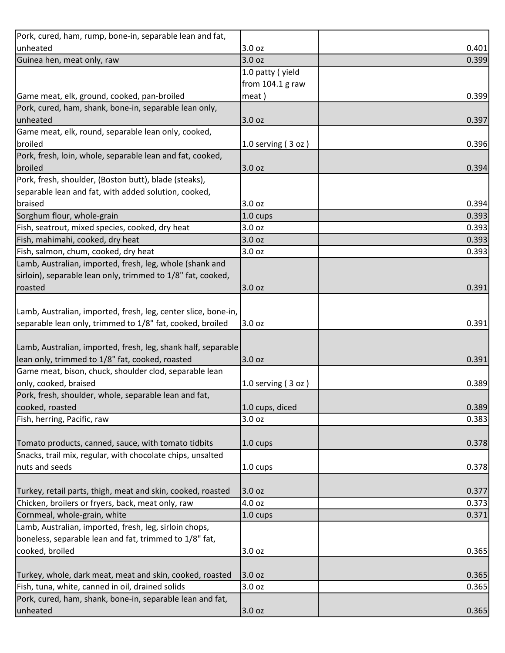| Pork, cured, ham, rump, bone-in, separable lean and fat,       |                      |       |
|----------------------------------------------------------------|----------------------|-------|
| unheated                                                       | 3.0 oz               | 0.401 |
| Guinea hen, meat only, raw                                     | 3.0 oz               | 0.399 |
|                                                                | 1.0 patty (yield     |       |
|                                                                | from $104.1$ g raw   |       |
| Game meat, elk, ground, cooked, pan-broiled                    | meat)                | 0.399 |
| Pork, cured, ham, shank, bone-in, separable lean only,         |                      |       |
| unheated                                                       | 3.0 <sub>oz</sub>    | 0.397 |
| Game meat, elk, round, separable lean only, cooked,            |                      |       |
| broiled                                                        | 1.0 serving $(3 oz)$ | 0.396 |
| Pork, fresh, loin, whole, separable lean and fat, cooked,      |                      |       |
| broiled                                                        | 3.0 oz               | 0.394 |
| Pork, fresh, shoulder, (Boston butt), blade (steaks),          |                      |       |
| separable lean and fat, with added solution, cooked,           |                      |       |
| braised                                                        | 3.0 <sub>oz</sub>    | 0.394 |
| Sorghum flour, whole-grain                                     | 1.0 cups             | 0.393 |
| Fish, seatrout, mixed species, cooked, dry heat                | 3.0 oz               | 0.393 |
| Fish, mahimahi, cooked, dry heat                               | 3.0 oz               | 0.393 |
| Fish, salmon, chum, cooked, dry heat                           | 3.0 oz               | 0.393 |
| Lamb, Australian, imported, fresh, leg, whole (shank and       |                      |       |
| sirloin), separable lean only, trimmed to 1/8" fat, cooked,    |                      |       |
| roasted                                                        | 3.0 oz               | 0.391 |
|                                                                |                      |       |
| Lamb, Australian, imported, fresh, leg, center slice, bone-in, |                      |       |
| separable lean only, trimmed to 1/8" fat, cooked, broiled      | 3.0 oz               | 0.391 |
|                                                                |                      |       |
| Lamb, Australian, imported, fresh, leg, shank half, separable  |                      |       |
| lean only, trimmed to 1/8" fat, cooked, roasted                | 3.0 oz               | 0.391 |
| Game meat, bison, chuck, shoulder clod, separable lean         |                      |       |
| only, cooked, braised                                          | 1.0 serving $(3 oz)$ | 0.389 |
| Pork, fresh, shoulder, whole, separable lean and fat,          |                      |       |
| cooked, roasted                                                | 1.0 cups, diced      | 0.389 |
| Fish, herring, Pacific, raw                                    | 3.0 <sub>oz</sub>    | 0.383 |
|                                                                |                      |       |
| Tomato products, canned, sauce, with tomato tidbits            | 1.0 cups             | 0.378 |
| Snacks, trail mix, regular, with chocolate chips, unsalted     |                      |       |
| nuts and seeds                                                 | $1.0 \text{ cups}$   | 0.378 |
|                                                                |                      |       |
| Turkey, retail parts, thigh, meat and skin, cooked, roasted    | 3.0 oz               | 0.377 |
| Chicken, broilers or fryers, back, meat only, raw              | 4.0 oz               | 0.373 |
| Cornmeal, whole-grain, white                                   | $1.0 \text{ cups}$   | 0.371 |
| Lamb, Australian, imported, fresh, leg, sirloin chops,         |                      |       |
| boneless, separable lean and fat, trimmed to 1/8" fat,         |                      |       |
| cooked, broiled                                                | 3.0 oz               | 0.365 |
|                                                                |                      |       |
| Turkey, whole, dark meat, meat and skin, cooked, roasted       | 3.0 oz               | 0.365 |
| Fish, tuna, white, canned in oil, drained solids               | 3.0 oz               | 0.365 |
| Pork, cured, ham, shank, bone-in, separable lean and fat,      |                      |       |
| unheated                                                       | 3.0 oz               | 0.365 |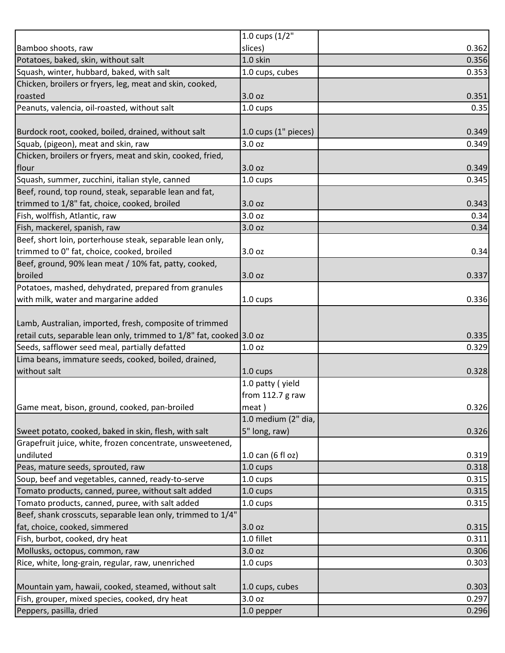| 0.362<br>slices)<br>1.0 skin<br>0.356<br>1.0 cups, cubes<br>3.0 oz<br>0.351<br>$1.0 \text{ cups}$<br>1.0 cups (1" pieces)<br>3.0 oz<br>3.0 oz<br>1.0 cups<br>3.0 oz<br>0.343<br>0.34<br>3.0 <sub>oz</sub><br>0.34<br>3.0 oz<br>Beef, short loin, porterhouse steak, separable lean only,<br>trimmed to 0" fat, choice, cooked, broiled<br>3.0 oz<br>Beef, ground, 90% lean meat / 10% fat, patty, cooked,<br>3.0 oz<br>0.337<br>Potatoes, mashed, dehydrated, prepared from granules<br>with milk, water and margarine added<br>1.0 cups<br>retail cuts, separable lean only, trimmed to 1/8" fat, cooked 3.0 oz<br>0.329<br>1.0 <sub>oz</sub><br>$1.0 \text{ cups}$<br>0.328<br>1.0 patty (yield<br>from $112.7$ g raw<br>meat)<br>1.0 medium (2" dia,<br>5" long, raw)<br>0.326<br>1.0 can (6 fl oz)<br>1.0 cups<br>$1.0 \text{ cups}$<br>1.0 cups<br>0.315<br>0.315<br>$1.0 \text{ cups}$<br>Beef, shank crosscuts, separable lean only, trimmed to 1/4"<br>3.0 oz<br>1.0 fillet<br>3.0 oz<br>0.303<br>$1.0 \text{ cups}$<br>1.0 cups, cubes<br>3.0 oz |                                                            | 1.0 cups $(1/2"$ |       |
|-----------------------------------------------------------------------------------------------------------------------------------------------------------------------------------------------------------------------------------------------------------------------------------------------------------------------------------------------------------------------------------------------------------------------------------------------------------------------------------------------------------------------------------------------------------------------------------------------------------------------------------------------------------------------------------------------------------------------------------------------------------------------------------------------------------------------------------------------------------------------------------------------------------------------------------------------------------------------------------------------------------------------------------------------------------|------------------------------------------------------------|------------------|-------|
|                                                                                                                                                                                                                                                                                                                                                                                                                                                                                                                                                                                                                                                                                                                                                                                                                                                                                                                                                                                                                                                           | Bamboo shoots, raw                                         |                  |       |
|                                                                                                                                                                                                                                                                                                                                                                                                                                                                                                                                                                                                                                                                                                                                                                                                                                                                                                                                                                                                                                                           | Potatoes, baked, skin, without salt                        |                  |       |
| 0.35<br>0.349<br>0.349<br>0.349<br>0.345<br>0.34<br>0.336<br>0.335<br>0.326<br>0.319<br>0.318<br>0.315<br>0.315<br>0.311<br>0.306<br>0.303<br>0.297                                                                                                                                                                                                                                                                                                                                                                                                                                                                                                                                                                                                                                                                                                                                                                                                                                                                                                       | Squash, winter, hubbard, baked, with salt                  |                  | 0.353 |
|                                                                                                                                                                                                                                                                                                                                                                                                                                                                                                                                                                                                                                                                                                                                                                                                                                                                                                                                                                                                                                                           | Chicken, broilers or fryers, leg, meat and skin, cooked,   |                  |       |
|                                                                                                                                                                                                                                                                                                                                                                                                                                                                                                                                                                                                                                                                                                                                                                                                                                                                                                                                                                                                                                                           | roasted                                                    |                  |       |
|                                                                                                                                                                                                                                                                                                                                                                                                                                                                                                                                                                                                                                                                                                                                                                                                                                                                                                                                                                                                                                                           | Peanuts, valencia, oil-roasted, without salt               |                  |       |
|                                                                                                                                                                                                                                                                                                                                                                                                                                                                                                                                                                                                                                                                                                                                                                                                                                                                                                                                                                                                                                                           |                                                            |                  |       |
|                                                                                                                                                                                                                                                                                                                                                                                                                                                                                                                                                                                                                                                                                                                                                                                                                                                                                                                                                                                                                                                           | Burdock root, cooked, boiled, drained, without salt        |                  |       |
|                                                                                                                                                                                                                                                                                                                                                                                                                                                                                                                                                                                                                                                                                                                                                                                                                                                                                                                                                                                                                                                           | Squab, (pigeon), meat and skin, raw                        |                  |       |
|                                                                                                                                                                                                                                                                                                                                                                                                                                                                                                                                                                                                                                                                                                                                                                                                                                                                                                                                                                                                                                                           | Chicken, broilers or fryers, meat and skin, cooked, fried, |                  |       |
|                                                                                                                                                                                                                                                                                                                                                                                                                                                                                                                                                                                                                                                                                                                                                                                                                                                                                                                                                                                                                                                           | flour                                                      |                  |       |
|                                                                                                                                                                                                                                                                                                                                                                                                                                                                                                                                                                                                                                                                                                                                                                                                                                                                                                                                                                                                                                                           | Squash, summer, zucchini, italian style, canned            |                  |       |
|                                                                                                                                                                                                                                                                                                                                                                                                                                                                                                                                                                                                                                                                                                                                                                                                                                                                                                                                                                                                                                                           | Beef, round, top round, steak, separable lean and fat,     |                  |       |
|                                                                                                                                                                                                                                                                                                                                                                                                                                                                                                                                                                                                                                                                                                                                                                                                                                                                                                                                                                                                                                                           | trimmed to 1/8" fat, choice, cooked, broiled               |                  |       |
|                                                                                                                                                                                                                                                                                                                                                                                                                                                                                                                                                                                                                                                                                                                                                                                                                                                                                                                                                                                                                                                           | Fish, wolffish, Atlantic, raw                              |                  |       |
|                                                                                                                                                                                                                                                                                                                                                                                                                                                                                                                                                                                                                                                                                                                                                                                                                                                                                                                                                                                                                                                           | Fish, mackerel, spanish, raw                               |                  |       |
|                                                                                                                                                                                                                                                                                                                                                                                                                                                                                                                                                                                                                                                                                                                                                                                                                                                                                                                                                                                                                                                           |                                                            |                  |       |
|                                                                                                                                                                                                                                                                                                                                                                                                                                                                                                                                                                                                                                                                                                                                                                                                                                                                                                                                                                                                                                                           |                                                            |                  |       |
|                                                                                                                                                                                                                                                                                                                                                                                                                                                                                                                                                                                                                                                                                                                                                                                                                                                                                                                                                                                                                                                           |                                                            |                  |       |
|                                                                                                                                                                                                                                                                                                                                                                                                                                                                                                                                                                                                                                                                                                                                                                                                                                                                                                                                                                                                                                                           | broiled                                                    |                  |       |
|                                                                                                                                                                                                                                                                                                                                                                                                                                                                                                                                                                                                                                                                                                                                                                                                                                                                                                                                                                                                                                                           |                                                            |                  |       |
|                                                                                                                                                                                                                                                                                                                                                                                                                                                                                                                                                                                                                                                                                                                                                                                                                                                                                                                                                                                                                                                           |                                                            |                  |       |
|                                                                                                                                                                                                                                                                                                                                                                                                                                                                                                                                                                                                                                                                                                                                                                                                                                                                                                                                                                                                                                                           |                                                            |                  |       |
|                                                                                                                                                                                                                                                                                                                                                                                                                                                                                                                                                                                                                                                                                                                                                                                                                                                                                                                                                                                                                                                           | Lamb, Australian, imported, fresh, composite of trimmed    |                  |       |
|                                                                                                                                                                                                                                                                                                                                                                                                                                                                                                                                                                                                                                                                                                                                                                                                                                                                                                                                                                                                                                                           |                                                            |                  |       |
|                                                                                                                                                                                                                                                                                                                                                                                                                                                                                                                                                                                                                                                                                                                                                                                                                                                                                                                                                                                                                                                           | Seeds, safflower seed meal, partially defatted             |                  |       |
|                                                                                                                                                                                                                                                                                                                                                                                                                                                                                                                                                                                                                                                                                                                                                                                                                                                                                                                                                                                                                                                           | Lima beans, immature seeds, cooked, boiled, drained,       |                  |       |
|                                                                                                                                                                                                                                                                                                                                                                                                                                                                                                                                                                                                                                                                                                                                                                                                                                                                                                                                                                                                                                                           | without salt                                               |                  |       |
|                                                                                                                                                                                                                                                                                                                                                                                                                                                                                                                                                                                                                                                                                                                                                                                                                                                                                                                                                                                                                                                           |                                                            |                  |       |
|                                                                                                                                                                                                                                                                                                                                                                                                                                                                                                                                                                                                                                                                                                                                                                                                                                                                                                                                                                                                                                                           |                                                            |                  |       |
|                                                                                                                                                                                                                                                                                                                                                                                                                                                                                                                                                                                                                                                                                                                                                                                                                                                                                                                                                                                                                                                           | Game meat, bison, ground, cooked, pan-broiled              |                  |       |
|                                                                                                                                                                                                                                                                                                                                                                                                                                                                                                                                                                                                                                                                                                                                                                                                                                                                                                                                                                                                                                                           |                                                            |                  |       |
|                                                                                                                                                                                                                                                                                                                                                                                                                                                                                                                                                                                                                                                                                                                                                                                                                                                                                                                                                                                                                                                           | Sweet potato, cooked, baked in skin, flesh, with salt      |                  |       |
|                                                                                                                                                                                                                                                                                                                                                                                                                                                                                                                                                                                                                                                                                                                                                                                                                                                                                                                                                                                                                                                           | Grapefruit juice, white, frozen concentrate, unsweetened,  |                  |       |
|                                                                                                                                                                                                                                                                                                                                                                                                                                                                                                                                                                                                                                                                                                                                                                                                                                                                                                                                                                                                                                                           | undiluted                                                  |                  |       |
|                                                                                                                                                                                                                                                                                                                                                                                                                                                                                                                                                                                                                                                                                                                                                                                                                                                                                                                                                                                                                                                           | Peas, mature seeds, sprouted, raw                          |                  |       |
|                                                                                                                                                                                                                                                                                                                                                                                                                                                                                                                                                                                                                                                                                                                                                                                                                                                                                                                                                                                                                                                           | Soup, beef and vegetables, canned, ready-to-serve          |                  |       |
|                                                                                                                                                                                                                                                                                                                                                                                                                                                                                                                                                                                                                                                                                                                                                                                                                                                                                                                                                                                                                                                           | Tomato products, canned, puree, without salt added         |                  |       |
|                                                                                                                                                                                                                                                                                                                                                                                                                                                                                                                                                                                                                                                                                                                                                                                                                                                                                                                                                                                                                                                           | Tomato products, canned, puree, with salt added            |                  |       |
|                                                                                                                                                                                                                                                                                                                                                                                                                                                                                                                                                                                                                                                                                                                                                                                                                                                                                                                                                                                                                                                           |                                                            |                  |       |
|                                                                                                                                                                                                                                                                                                                                                                                                                                                                                                                                                                                                                                                                                                                                                                                                                                                                                                                                                                                                                                                           | fat, choice, cooked, simmered                              |                  |       |
|                                                                                                                                                                                                                                                                                                                                                                                                                                                                                                                                                                                                                                                                                                                                                                                                                                                                                                                                                                                                                                                           | Fish, burbot, cooked, dry heat                             |                  |       |
|                                                                                                                                                                                                                                                                                                                                                                                                                                                                                                                                                                                                                                                                                                                                                                                                                                                                                                                                                                                                                                                           | Mollusks, octopus, common, raw                             |                  |       |
|                                                                                                                                                                                                                                                                                                                                                                                                                                                                                                                                                                                                                                                                                                                                                                                                                                                                                                                                                                                                                                                           | Rice, white, long-grain, regular, raw, unenriched          |                  |       |
|                                                                                                                                                                                                                                                                                                                                                                                                                                                                                                                                                                                                                                                                                                                                                                                                                                                                                                                                                                                                                                                           |                                                            |                  |       |
|                                                                                                                                                                                                                                                                                                                                                                                                                                                                                                                                                                                                                                                                                                                                                                                                                                                                                                                                                                                                                                                           | Mountain yam, hawaii, cooked, steamed, without salt        |                  |       |
|                                                                                                                                                                                                                                                                                                                                                                                                                                                                                                                                                                                                                                                                                                                                                                                                                                                                                                                                                                                                                                                           | Fish, grouper, mixed species, cooked, dry heat             |                  |       |
|                                                                                                                                                                                                                                                                                                                                                                                                                                                                                                                                                                                                                                                                                                                                                                                                                                                                                                                                                                                                                                                           | Peppers, pasilla, dried                                    | 1.0 pepper       | 0.296 |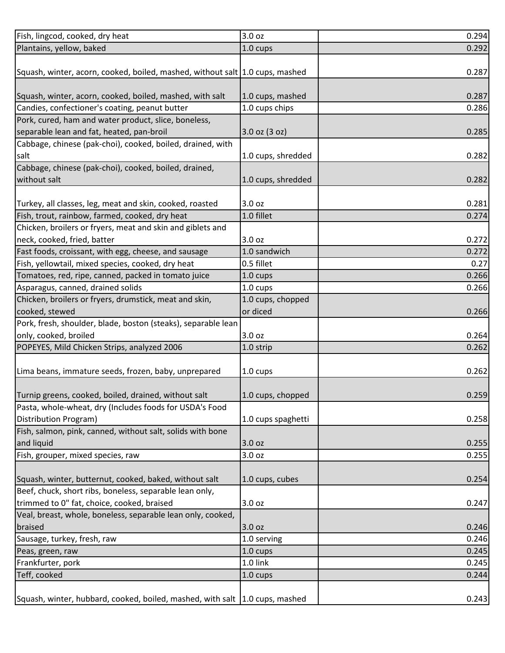| Fish, lingcod, cooked, dry heat                                                                                 | 3.0 <sub>oz</sub>  | 0.294 |
|-----------------------------------------------------------------------------------------------------------------|--------------------|-------|
| Plantains, yellow, baked                                                                                        | 1.0 cups           | 0.292 |
|                                                                                                                 |                    |       |
| Squash, winter, acorn, cooked, boiled, mashed, without salt 1.0 cups, mashed                                    |                    | 0.287 |
|                                                                                                                 |                    |       |
| Squash, winter, acorn, cooked, boiled, mashed, with salt                                                        | 1.0 cups, mashed   | 0.287 |
| Candies, confectioner's coating, peanut butter                                                                  | 1.0 cups chips     | 0.286 |
| Pork, cured, ham and water product, slice, boneless,                                                            |                    |       |
| separable lean and fat, heated, pan-broil                                                                       | $3.0$ oz $(3$ oz)  | 0.285 |
| Cabbage, chinese (pak-choi), cooked, boiled, drained, with                                                      |                    |       |
| salt                                                                                                            | 1.0 cups, shredded | 0.282 |
| Cabbage, chinese (pak-choi), cooked, boiled, drained,                                                           |                    |       |
| without salt                                                                                                    | 1.0 cups, shredded | 0.282 |
|                                                                                                                 |                    |       |
| Turkey, all classes, leg, meat and skin, cooked, roasted                                                        | 3.0 <sub>oz</sub>  | 0.281 |
| Fish, trout, rainbow, farmed, cooked, dry heat                                                                  | 1.0 fillet         | 0.274 |
| Chicken, broilers or fryers, meat and skin and giblets and                                                      |                    |       |
| neck, cooked, fried, batter                                                                                     | 3.0 oz             | 0.272 |
| Fast foods, croissant, with egg, cheese, and sausage                                                            | 1.0 sandwich       | 0.272 |
| Fish, yellowtail, mixed species, cooked, dry heat                                                               | 0.5 fillet         | 0.27  |
| Tomatoes, red, ripe, canned, packed in tomato juice                                                             | 1.0 cups           | 0.266 |
| Asparagus, canned, drained solids                                                                               | 1.0 cups           | 0.266 |
| Chicken, broilers or fryers, drumstick, meat and skin,                                                          | 1.0 cups, chopped  |       |
| cooked, stewed                                                                                                  | or diced           | 0.266 |
| Pork, fresh, shoulder, blade, boston (steaks), separable lean                                                   |                    |       |
| only, cooked, broiled                                                                                           | 3.0 <sub>oz</sub>  | 0.264 |
| POPEYES, Mild Chicken Strips, analyzed 2006                                                                     |                    | 0.262 |
|                                                                                                                 | 1.0 strip          |       |
|                                                                                                                 | 1.0 cups           | 0.262 |
| Lima beans, immature seeds, frozen, baby, unprepared                                                            |                    |       |
|                                                                                                                 | 1.0 cups, chopped  | 0.259 |
| Turnip greens, cooked, boiled, drained, without salt<br>Pasta, whole-wheat, dry (Includes foods for USDA's Food |                    |       |
|                                                                                                                 |                    |       |
| Distribution Program)                                                                                           | 1.0 cups spaghetti | 0.258 |
| Fish, salmon, pink, canned, without salt, solids with bone                                                      |                    |       |
| and liquid                                                                                                      | 3.0 oz             | 0.255 |
| Fish, grouper, mixed species, raw                                                                               | 3.0 oz             | 0.255 |
|                                                                                                                 |                    |       |
| Squash, winter, butternut, cooked, baked, without salt                                                          | 1.0 cups, cubes    | 0.254 |
| Beef, chuck, short ribs, boneless, separable lean only,                                                         |                    |       |
| trimmed to 0" fat, choice, cooked, braised                                                                      | 3.0 oz             | 0.247 |
| Veal, breast, whole, boneless, separable lean only, cooked,                                                     |                    |       |
| braised                                                                                                         | 3.0 oz             | 0.246 |
| Sausage, turkey, fresh, raw                                                                                     | 1.0 serving        | 0.246 |
| Peas, green, raw                                                                                                | 1.0 cups           | 0.245 |
| Frankfurter, pork                                                                                               | 1.0 link           | 0.245 |
| Teff, cooked                                                                                                    | $1.0 \text{ cups}$ | 0.244 |
|                                                                                                                 |                    |       |
| Squash, winter, hubbard, cooked, boiled, mashed, with salt 1.0 cups, mashed                                     |                    | 0.243 |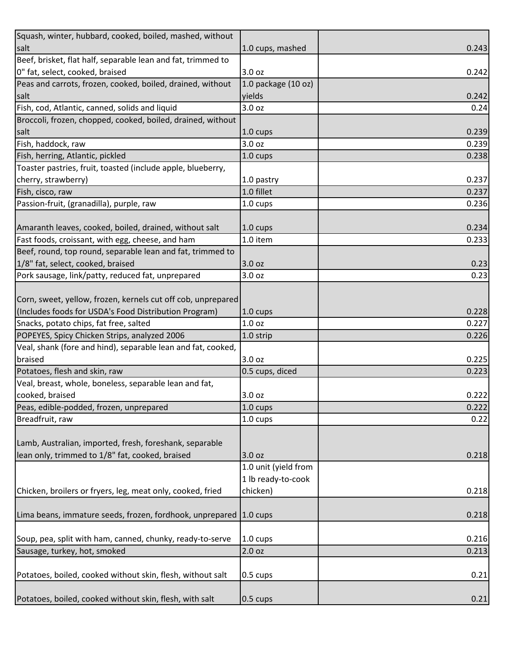| Squash, winter, hubbard, cooked, boiled, mashed, without          |                      |       |
|-------------------------------------------------------------------|----------------------|-------|
| salt                                                              | 1.0 cups, mashed     | 0.243 |
| Beef, brisket, flat half, separable lean and fat, trimmed to      |                      |       |
| 0" fat, select, cooked, braised                                   | 3.0 oz               | 0.242 |
| Peas and carrots, frozen, cooked, boiled, drained, without        | 1.0 package (10 oz)  |       |
| salt                                                              | yields               | 0.242 |
| Fish, cod, Atlantic, canned, solids and liquid                    | 3.0 oz               | 0.24  |
| Broccoli, frozen, chopped, cooked, boiled, drained, without       |                      |       |
| salt                                                              | 1.0 cups             | 0.239 |
| Fish, haddock, raw                                                | 3.0 oz               | 0.239 |
| Fish, herring, Atlantic, pickled                                  | 1.0 cups             | 0.238 |
| Toaster pastries, fruit, toasted (include apple, blueberry,       |                      |       |
| cherry, strawberry)                                               | 1.0 pastry           | 0.237 |
| Fish, cisco, raw                                                  | 1.0 fillet           | 0.237 |
| Passion-fruit, (granadilla), purple, raw                          | 1.0 cups             | 0.236 |
|                                                                   |                      |       |
| Amaranth leaves, cooked, boiled, drained, without salt            | 1.0 cups             | 0.234 |
| Fast foods, croissant, with egg, cheese, and ham                  | 1.0 item             | 0.233 |
| Beef, round, top round, separable lean and fat, trimmed to        |                      |       |
| 1/8" fat, select, cooked, braised                                 | 3.0 oz               | 0.23  |
| Pork sausage, link/patty, reduced fat, unprepared                 | 3.0 oz               | 0.23  |
|                                                                   |                      |       |
| Corn, sweet, yellow, frozen, kernels cut off cob, unprepared      |                      |       |
| (Includes foods for USDA's Food Distribution Program)             | 1.0 cups             | 0.228 |
| Snacks, potato chips, fat free, salted                            | 1.0 <sub>oz</sub>    | 0.227 |
| POPEYES, Spicy Chicken Strips, analyzed 2006                      | 1.0 strip            | 0.226 |
| Veal, shank (fore and hind), separable lean and fat, cooked,      |                      |       |
| braised                                                           | 3.0 oz               | 0.225 |
| Potatoes, flesh and skin, raw                                     | 0.5 cups, diced      | 0.223 |
| Veal, breast, whole, boneless, separable lean and fat,            |                      |       |
| cooked, braised                                                   | 3.0 oz               | 0.222 |
| Peas, edible-podded, frozen, unprepared                           | 1.0 cups             | 0.222 |
| Breadfruit, raw                                                   | 1.0 cups             | 0.22  |
|                                                                   |                      |       |
| Lamb, Australian, imported, fresh, foreshank, separable           |                      |       |
| lean only, trimmed to 1/8" fat, cooked, braised                   | 3.0 oz               | 0.218 |
|                                                                   | 1.0 unit (yield from |       |
|                                                                   | 1 lb ready-to-cook   |       |
| Chicken, broilers or fryers, leg, meat only, cooked, fried        | chicken)             | 0.218 |
|                                                                   |                      |       |
| Lima beans, immature seeds, frozen, fordhook, unprepared 1.0 cups |                      | 0.218 |
|                                                                   |                      |       |
| Soup, pea, split with ham, canned, chunky, ready-to-serve         | 1.0 cups             | 0.216 |
| Sausage, turkey, hot, smoked                                      | 2.0 oz               | 0.213 |
|                                                                   |                      |       |
| Potatoes, boiled, cooked without skin, flesh, without salt        | $0.5 \text{ cups}$   | 0.21  |
|                                                                   |                      |       |
| Potatoes, boiled, cooked without skin, flesh, with salt           | $0.5 \text{ cups}$   | 0.21  |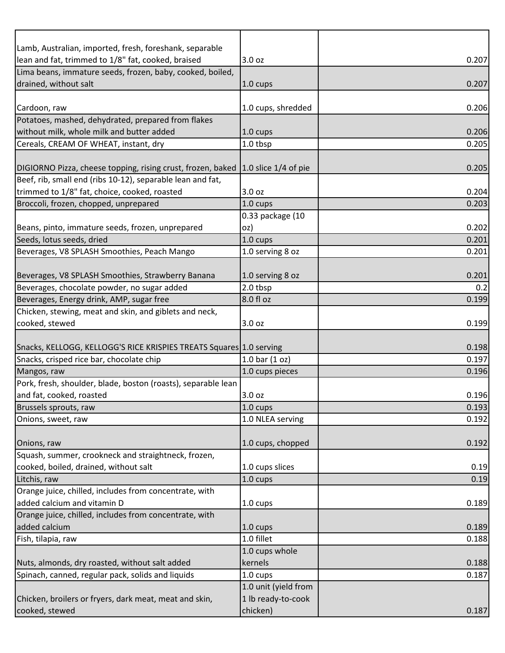| Lamb, Australian, imported, fresh, foreshank, separable                               |                      |       |
|---------------------------------------------------------------------------------------|----------------------|-------|
| lean and fat, trimmed to 1/8" fat, cooked, braised                                    | 3.0 oz               | 0.207 |
| Lima beans, immature seeds, frozen, baby, cooked, boiled,                             |                      |       |
| drained, without salt                                                                 | $1.0 \text{ cups}$   | 0.207 |
|                                                                                       |                      |       |
| Cardoon, raw                                                                          | 1.0 cups, shredded   | 0.206 |
| Potatoes, mashed, dehydrated, prepared from flakes                                    |                      |       |
| without milk, whole milk and butter added                                             | 1.0 cups             | 0.206 |
| Cereals, CREAM OF WHEAT, instant, dry                                                 | 1.0 tbsp             | 0.205 |
|                                                                                       |                      |       |
| DIGIORNO Pizza, cheese topping, rising crust, frozen, baked 1.0 slice 1/4 of pie      |                      | 0.205 |
| Beef, rib, small end (ribs 10-12), separable lean and fat,                            |                      |       |
| trimmed to 1/8" fat, choice, cooked, roasted<br>Broccoli, frozen, chopped, unprepared | 3.0 <sub>oz</sub>    | 0.204 |
|                                                                                       | 1.0 cups             | 0.203 |
|                                                                                       | 0.33 package (10     |       |
| Beans, pinto, immature seeds, frozen, unprepared                                      | oz)                  | 0.202 |
| Seeds, lotus seeds, dried                                                             | 1.0 cups             | 0.201 |
| Beverages, V8 SPLASH Smoothies, Peach Mango                                           | 1.0 serving 8 oz     | 0.201 |
| Beverages, V8 SPLASH Smoothies, Strawberry Banana                                     | 1.0 serving 8 oz     | 0.201 |
| Beverages, chocolate powder, no sugar added                                           | 2.0 tbsp             | 0.2   |
| Beverages, Energy drink, AMP, sugar free                                              | 8.0 fl oz            | 0.199 |
| Chicken, stewing, meat and skin, and giblets and neck,                                |                      |       |
| cooked, stewed                                                                        | 3.0 oz               | 0.199 |
|                                                                                       |                      |       |
| Snacks, KELLOGG, KELLOGG'S RICE KRISPIES TREATS Squares 1.0 serving                   |                      | 0.198 |
| Snacks, crisped rice bar, chocolate chip                                              | 1.0 bar $(1 oz)$     | 0.197 |
| Mangos, raw                                                                           | 1.0 cups pieces      | 0.196 |
| Pork, fresh, shoulder, blade, boston (roasts), separable lean                         |                      |       |
| and fat, cooked, roasted                                                              | 3.0 oz               | 0.196 |
| Brussels sprouts, raw                                                                 | $1.0 \text{ cups}$   | 0.193 |
| Onions, sweet, raw                                                                    | 1.0 NLEA serving     | 0.192 |
|                                                                                       |                      |       |
| Onions, raw                                                                           | 1.0 cups, chopped    | 0.192 |
| Squash, summer, crookneck and straightneck, frozen,                                   |                      |       |
| cooked, boiled, drained, without salt                                                 | 1.0 cups slices      | 0.19  |
| Litchis, raw                                                                          | 1.0 cups             | 0.19  |
| Orange juice, chilled, includes from concentrate, with                                |                      |       |
| added calcium and vitamin D                                                           | 1.0 cups             | 0.189 |
| Orange juice, chilled, includes from concentrate, with                                |                      |       |
| added calcium                                                                         | 1.0 cups             | 0.189 |
| Fish, tilapia, raw                                                                    | 1.0 fillet           | 0.188 |
|                                                                                       | 1.0 cups whole       |       |
| Nuts, almonds, dry roasted, without salt added                                        | kernels              | 0.188 |
| Spinach, canned, regular pack, solids and liquids                                     | 1.0 cups             | 0.187 |
|                                                                                       | 1.0 unit (yield from |       |
| Chicken, broilers or fryers, dark meat, meat and skin,                                | 1 lb ready-to-cook   |       |
| cooked, stewed                                                                        | chicken)             | 0.187 |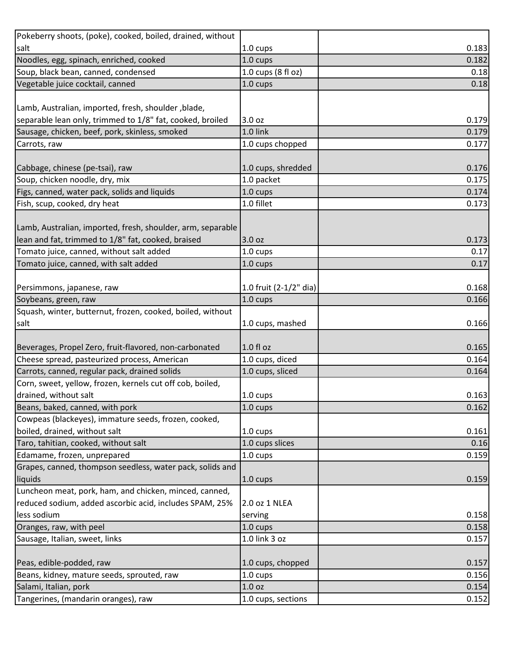| Pokeberry shoots, (poke), cooked, boiled, drained, without  |                        |       |
|-------------------------------------------------------------|------------------------|-------|
| salt                                                        | 1.0 cups               | 0.183 |
| Noodles, egg, spinach, enriched, cooked                     | 1.0 cups               | 0.182 |
| Soup, black bean, canned, condensed                         | 1.0 cups (8 fl oz)     | 0.18  |
| Vegetable juice cocktail, canned                            | $1.0 \text{ cups}$     | 0.18  |
|                                                             |                        |       |
| Lamb, Australian, imported, fresh, shoulder, blade,         |                        |       |
| separable lean only, trimmed to 1/8" fat, cooked, broiled   | 3.0 oz                 | 0.179 |
| Sausage, chicken, beef, pork, skinless, smoked              | 1.0 link               | 0.179 |
| Carrots, raw                                                | 1.0 cups chopped       | 0.177 |
|                                                             |                        |       |
| Cabbage, chinese (pe-tsai), raw                             | 1.0 cups, shredded     | 0.176 |
| Soup, chicken noodle, dry, mix                              | 1.0 packet             | 0.175 |
| Figs, canned, water pack, solids and liquids                | 1.0 cups               | 0.174 |
| Fish, scup, cooked, dry heat                                | 1.0 fillet             | 0.173 |
|                                                             |                        |       |
| Lamb, Australian, imported, fresh, shoulder, arm, separable |                        |       |
| lean and fat, trimmed to 1/8" fat, cooked, braised          | 3.0 oz                 | 0.173 |
| Tomato juice, canned, without salt added                    | 1.0 cups               | 0.17  |
| Tomato juice, canned, with salt added                       | $1.0 \text{ cups}$     | 0.17  |
|                                                             |                        |       |
| Persimmons, japanese, raw                                   | 1.0 fruit (2-1/2" dia) | 0.168 |
| Soybeans, green, raw                                        | $1.0 \text{ cups}$     | 0.166 |
| Squash, winter, butternut, frozen, cooked, boiled, without  |                        |       |
| salt                                                        | 1.0 cups, mashed       | 0.166 |
|                                                             |                        |       |
| Beverages, Propel Zero, fruit-flavored, non-carbonated      | $1.0 f$ l oz           | 0.165 |
| Cheese spread, pasteurized process, American                | 1.0 cups, diced        | 0.164 |
| Carrots, canned, regular pack, drained solids               | 1.0 cups, sliced       | 0.164 |
| Corn, sweet, yellow, frozen, kernels cut off cob, boiled,   |                        |       |
| drained, without salt                                       | 1.0 cups               | 0.163 |
| Beans, baked, canned, with pork                             | $1.0 \text{ cups}$     | 0.162 |
| Cowpeas (blackeyes), immature seeds, frozen, cooked,        |                        |       |
| boiled, drained, without salt                               | 1.0 cups               | 0.161 |
| Taro, tahitian, cooked, without salt                        | 1.0 cups slices        | 0.16  |
| Edamame, frozen, unprepared                                 | $1.0 \text{ cups}$     | 0.159 |
| Grapes, canned, thompson seedless, water pack, solids and   |                        |       |
| liquids                                                     | $1.0 \text{ cups}$     | 0.159 |
| Luncheon meat, pork, ham, and chicken, minced, canned,      |                        |       |
| reduced sodium, added ascorbic acid, includes SPAM, 25%     | 2.0 oz 1 NLEA          |       |
| less sodium                                                 | serving                | 0.158 |
| Oranges, raw, with peel                                     | 1.0 cups               | 0.158 |
| Sausage, Italian, sweet, links                              | 1.0 link 3 oz          | 0.157 |
|                                                             |                        |       |
| Peas, edible-podded, raw                                    | 1.0 cups, chopped      | 0.157 |
| Beans, kidney, mature seeds, sprouted, raw                  | 1.0 cups               | 0.156 |
| Salami, Italian, pork                                       | 1.0 <sub>oz</sub>      | 0.154 |
|                                                             |                        |       |
| Tangerines, (mandarin oranges), raw                         | 1.0 cups, sections     | 0.152 |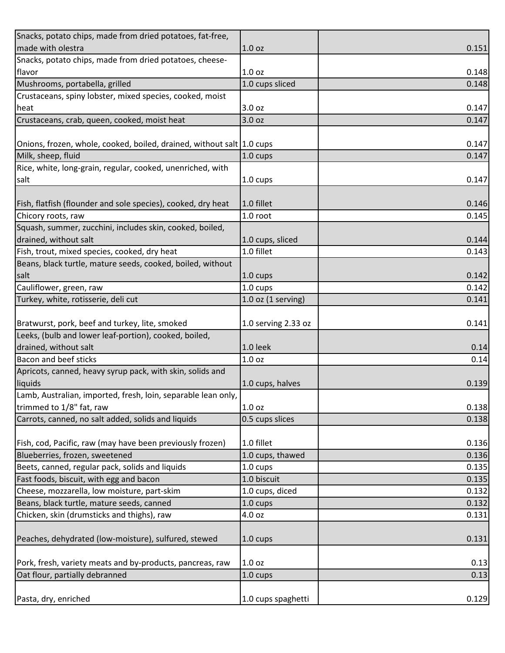| Snacks, potato chips, made from dried potatoes, fat-free,             |                        |       |
|-----------------------------------------------------------------------|------------------------|-------|
| made with olestra                                                     | 1.0 <sub>oz</sub>      | 0.151 |
| Snacks, potato chips, made from dried potatoes, cheese-               |                        |       |
| flavor                                                                | 1.0 <sub>oz</sub>      | 0.148 |
| Mushrooms, portabella, grilled                                        | 1.0 cups sliced        | 0.148 |
| Crustaceans, spiny lobster, mixed species, cooked, moist              |                        |       |
| heat                                                                  | 3.0 oz                 | 0.147 |
| Crustaceans, crab, queen, cooked, moist heat                          | 3.0 <sub>oz</sub>      | 0.147 |
|                                                                       |                        |       |
| Onions, frozen, whole, cooked, boiled, drained, without salt 1.0 cups |                        | 0.147 |
| Milk, sheep, fluid                                                    | 1.0 cups               | 0.147 |
| Rice, white, long-grain, regular, cooked, unenriched, with            |                        |       |
| salt                                                                  | $1.0 \text{ cups}$     | 0.147 |
|                                                                       |                        |       |
| Fish, flatfish (flounder and sole species), cooked, dry heat          | 1.0 fillet             | 0.146 |
| Chicory roots, raw                                                    | 1.0 root               | 0.145 |
| Squash, summer, zucchini, includes skin, cooked, boiled,              |                        |       |
| drained, without salt                                                 | 1.0 cups, sliced       | 0.144 |
| Fish, trout, mixed species, cooked, dry heat                          | 1.0 fillet             | 0.143 |
| Beans, black turtle, mature seeds, cooked, boiled, without            |                        |       |
| salt                                                                  | $1.0 \text{ cups}$     | 0.142 |
| Cauliflower, green, raw                                               | 1.0 cups               | 0.142 |
| Turkey, white, rotisserie, deli cut                                   |                        | 0.141 |
|                                                                       | $1.0$ oz $(1$ serving) |       |
| Bratwurst, pork, beef and turkey, lite, smoked                        | 1.0 serving 2.33 oz    | 0.141 |
| Leeks, (bulb and lower leaf-portion), cooked, boiled,                 |                        |       |
|                                                                       | 1.0 leek               |       |
| drained, without salt<br>Bacon and beef sticks                        |                        | 0.14  |
|                                                                       | 1.0 <sub>oz</sub>      | 0.14  |
| Apricots, canned, heavy syrup pack, with skin, solids and             |                        |       |
| liquids                                                               | 1.0 cups, halves       | 0.139 |
| Lamb, Australian, imported, fresh, loin, separable lean only,         |                        |       |
| trimmed to 1/8" fat, raw                                              | 1.0 <sub>oz</sub>      | 0.138 |
| Carrots, canned, no salt added, solids and liquids                    | 0.5 cups slices        | 0.138 |
|                                                                       |                        |       |
| Fish, cod, Pacific, raw (may have been previously frozen)             | 1.0 fillet             | 0.136 |
| Blueberries, frozen, sweetened                                        | 1.0 cups, thawed       | 0.136 |
| Beets, canned, regular pack, solids and liquids                       | $1.0 \text{ cups}$     | 0.135 |
| Fast foods, biscuit, with egg and bacon                               | 1.0 biscuit            | 0.135 |
| Cheese, mozzarella, low moisture, part-skim                           | 1.0 cups, diced        | 0.132 |
| Beans, black turtle, mature seeds, canned                             | 1.0 cups               | 0.132 |
| Chicken, skin (drumsticks and thighs), raw                            | 4.0 oz                 | 0.131 |
|                                                                       |                        |       |
| Peaches, dehydrated (low-moisture), sulfured, stewed                  | $1.0 \text{ cups}$     | 0.131 |
|                                                                       |                        |       |
| Pork, fresh, variety meats and by-products, pancreas, raw             | 1.0 <sub>oz</sub>      | 0.13  |
| Oat flour, partially debranned                                        | 1.0 cups               | 0.13  |
|                                                                       |                        |       |
| Pasta, dry, enriched                                                  | 1.0 cups spaghetti     | 0.129 |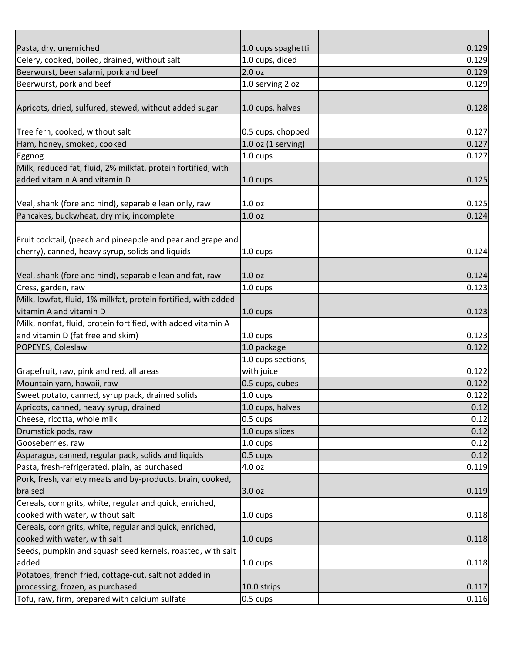| Pasta, dry, unenriched                                         | 1.0 cups spaghetti   | 0.129 |
|----------------------------------------------------------------|----------------------|-------|
| Celery, cooked, boiled, drained, without salt                  | 1.0 cups, diced      | 0.129 |
| Beerwurst, beer salami, pork and beef                          | 2.0 oz               | 0.129 |
| Beerwurst, pork and beef                                       | 1.0 serving 2 oz     | 0.129 |
|                                                                |                      |       |
| Apricots, dried, sulfured, stewed, without added sugar         | 1.0 cups, halves     | 0.128 |
|                                                                |                      |       |
| Tree fern, cooked, without salt                                | 0.5 cups, chopped    | 0.127 |
| Ham, honey, smoked, cooked                                     | $1.0$ oz (1 serving) | 0.127 |
| Eggnog                                                         | $1.0 \text{ cups}$   | 0.127 |
| Milk, reduced fat, fluid, 2% milkfat, protein fortified, with  |                      |       |
| added vitamin A and vitamin D                                  | 1.0 cups             | 0.125 |
|                                                                |                      |       |
| Veal, shank (fore and hind), separable lean only, raw          | 1.0 <sub>oz</sub>    | 0.125 |
| Pancakes, buckwheat, dry mix, incomplete                       | 1.0 <sub>oz</sub>    | 0.124 |
|                                                                |                      |       |
| Fruit cocktail, (peach and pineapple and pear and grape and    |                      |       |
| cherry), canned, heavy syrup, solids and liquids               | 1.0 cups             | 0.124 |
|                                                                |                      |       |
| Veal, shank (fore and hind), separable lean and fat, raw       | 1.0 <sub>oz</sub>    | 0.124 |
| Cress, garden, raw                                             | 1.0 cups             | 0.123 |
| Milk, lowfat, fluid, 1% milkfat, protein fortified, with added |                      |       |
| vitamin A and vitamin D                                        | $1.0 \text{ cups}$   | 0.123 |
| Milk, nonfat, fluid, protein fortified, with added vitamin A   |                      |       |
| and vitamin D (fat free and skim)                              | 1.0 cups             | 0.123 |
| POPEYES, Coleslaw                                              | 1.0 package          | 0.122 |
|                                                                | 1.0 cups sections,   |       |
| Grapefruit, raw, pink and red, all areas                       | with juice           | 0.122 |
| Mountain yam, hawaii, raw                                      | 0.5 cups, cubes      | 0.122 |
| Sweet potato, canned, syrup pack, drained solids               | $1.0 \text{ cups}$   | 0.122 |
| Apricots, canned, heavy syrup, drained                         | 1.0 cups, halves     | 0.12  |
| Cheese, ricotta, whole milk                                    | 0.5 cups             | 0.12  |
| Drumstick pods, raw                                            | 1.0 cups slices      | 0.12  |
| Gooseberries, raw                                              | 1.0 cups             | 0.12  |
| Asparagus, canned, regular pack, solids and liquids            | $0.5 \text{ cups}$   | 0.12  |
| Pasta, fresh-refrigerated, plain, as purchased                 | 4.0 oz               | 0.119 |
| Pork, fresh, variety meats and by-products, brain, cooked,     |                      |       |
| braised                                                        | 3.0 oz               | 0.119 |
| Cereals, corn grits, white, regular and quick, enriched,       |                      |       |
| cooked with water, without salt                                | 1.0 cups             | 0.118 |
| Cereals, corn grits, white, regular and quick, enriched,       |                      |       |
| cooked with water, with salt                                   | $1.0 \text{ cups}$   | 0.118 |
| Seeds, pumpkin and squash seed kernels, roasted, with salt     |                      |       |
| added                                                          | 1.0 cups             | 0.118 |
| Potatoes, french fried, cottage-cut, salt not added in         |                      |       |
| processing, frozen, as purchased                               | 10.0 strips          | 0.117 |
| Tofu, raw, firm, prepared with calcium sulfate                 | 0.5 cups             | 0.116 |
|                                                                |                      |       |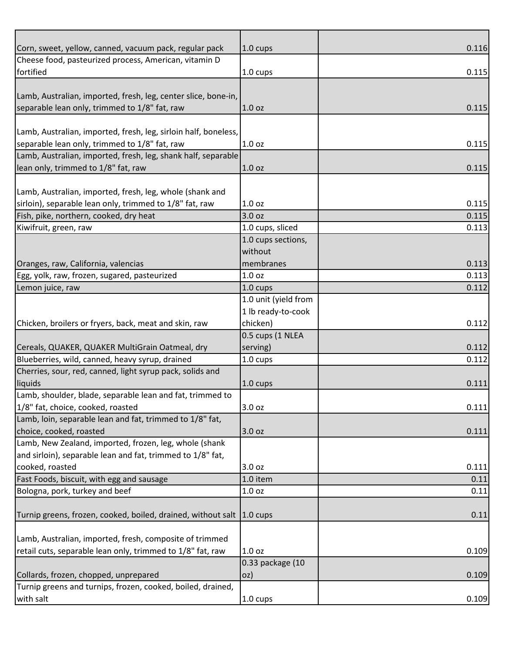| Corn, sweet, yellow, canned, vacuum pack, regular pack          | $1.0 \text{ cups}$   | 0.116 |
|-----------------------------------------------------------------|----------------------|-------|
| Cheese food, pasteurized process, American, vitamin D           |                      |       |
| fortified                                                       | 1.0 cups             | 0.115 |
|                                                                 |                      |       |
| Lamb, Australian, imported, fresh, leg, center slice, bone-in,  |                      |       |
| separable lean only, trimmed to 1/8" fat, raw                   | 1.0 <sub>oz</sub>    | 0.115 |
|                                                                 |                      |       |
| Lamb, Australian, imported, fresh, leg, sirloin half, boneless, |                      |       |
| separable lean only, trimmed to 1/8" fat, raw                   | 1.0 <sub>oz</sub>    | 0.115 |
| Lamb, Australian, imported, fresh, leg, shank half, separable   |                      |       |
| lean only, trimmed to 1/8" fat, raw                             | 1.0 <sub>oz</sub>    | 0.115 |
|                                                                 |                      |       |
| Lamb, Australian, imported, fresh, leg, whole (shank and        |                      |       |
| sirloin), separable lean only, trimmed to 1/8" fat, raw         | 1.0 <sub>oz</sub>    | 0.115 |
| Fish, pike, northern, cooked, dry heat                          | 3.0 <sub>oz</sub>    | 0.115 |
| Kiwifruit, green, raw                                           | 1.0 cups, sliced     | 0.113 |
|                                                                 | 1.0 cups sections,   |       |
|                                                                 | without              |       |
| Oranges, raw, California, valencias                             | membranes            | 0.113 |
| Egg, yolk, raw, frozen, sugared, pasteurized                    | 1.0 <sub>oz</sub>    | 0.113 |
| Lemon juice, raw                                                | 1.0 cups             | 0.112 |
|                                                                 | 1.0 unit (yield from |       |
|                                                                 | 1 lb ready-to-cook   |       |
| Chicken, broilers or fryers, back, meat and skin, raw           | chicken)             | 0.112 |
|                                                                 | 0.5 cups (1 NLEA     |       |
| Cereals, QUAKER, QUAKER MultiGrain Oatmeal, dry                 | serving)             | 0.112 |
| Blueberries, wild, canned, heavy syrup, drained                 | 1.0 cups             | 0.112 |
| Cherries, sour, red, canned, light syrup pack, solids and       |                      |       |
| liquids                                                         | 1.0 cups             | 0.111 |
| Lamb, shoulder, blade, separable lean and fat, trimmed to       |                      |       |
| 1/8" fat, choice, cooked, roasted                               | 3.0 oz               | 0.111 |
| Lamb, loin, separable lean and fat, trimmed to 1/8" fat,        |                      |       |
| choice, cooked, roasted                                         | 3.0 oz               | 0.111 |
| Lamb, New Zealand, imported, frozen, leg, whole (shank          |                      |       |
| and sirloin), separable lean and fat, trimmed to 1/8" fat,      |                      |       |
| cooked, roasted                                                 | 3.0 oz               | 0.111 |
| Fast Foods, biscuit, with egg and sausage                       | 1.0 item             | 0.11  |
| Bologna, pork, turkey and beef                                  | 1.0 <sub>oz</sub>    | 0.11  |
|                                                                 |                      |       |
| Turnip greens, frozen, cooked, boiled, drained, without salt    | $1.0 \text{ cups}$   | 0.11  |
|                                                                 |                      |       |
| Lamb, Australian, imported, fresh, composite of trimmed         |                      |       |
| retail cuts, separable lean only, trimmed to 1/8" fat, raw      | 1.0 <sub>oz</sub>    | 0.109 |
|                                                                 | 0.33 package (10     |       |
| Collards, frozen, chopped, unprepared                           | oz)                  | 0.109 |
| Turnip greens and turnips, frozen, cooked, boiled, drained,     |                      |       |
| with salt                                                       | 1.0 cups             | 0.109 |
|                                                                 |                      |       |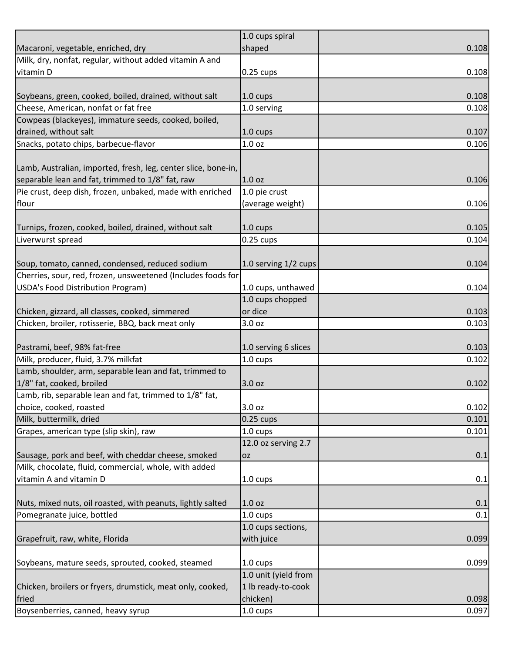|                                                                | 1.0 cups spiral      |       |
|----------------------------------------------------------------|----------------------|-------|
| Macaroni, vegetable, enriched, dry                             | shaped               | 0.108 |
| Milk, dry, nonfat, regular, without added vitamin A and        |                      |       |
| vitamin D                                                      | $0.25$ cups          | 0.108 |
|                                                                |                      |       |
| Soybeans, green, cooked, boiled, drained, without salt         | 1.0 cups             | 0.108 |
| Cheese, American, nonfat or fat free                           | 1.0 serving          | 0.108 |
| Cowpeas (blackeyes), immature seeds, cooked, boiled,           |                      |       |
| drained, without salt                                          | 1.0 cups             | 0.107 |
| Snacks, potato chips, barbecue-flavor                          | 1.0 <sub>oz</sub>    | 0.106 |
| Lamb, Australian, imported, fresh, leg, center slice, bone-in, |                      |       |
| separable lean and fat, trimmed to 1/8" fat, raw               | 1.0 <sub>oz</sub>    | 0.106 |
| Pie crust, deep dish, frozen, unbaked, made with enriched      | 1.0 pie crust        |       |
| flour                                                          | (average weight)     | 0.106 |
|                                                                |                      |       |
| Turnips, frozen, cooked, boiled, drained, without salt         | 1.0 cups             | 0.105 |
| Liverwurst spread                                              | $0.25$ cups          | 0.104 |
|                                                                |                      |       |
| Soup, tomato, canned, condensed, reduced sodium                | 1.0 serving 1/2 cups | 0.104 |
| Cherries, sour, red, frozen, unsweetened (Includes foods for   |                      |       |
| USDA's Food Distribution Program)                              | 1.0 cups, unthawed   | 0.104 |
|                                                                | 1.0 cups chopped     |       |
| Chicken, gizzard, all classes, cooked, simmered                | or dice              | 0.103 |
| Chicken, broiler, rotisserie, BBQ, back meat only              | 3.0 <sub>oz</sub>    | 0.103 |
|                                                                |                      |       |
| Pastrami, beef, 98% fat-free                                   | 1.0 serving 6 slices | 0.103 |
| Milk, producer, fluid, 3.7% milkfat                            | 1.0 cups             | 0.102 |
| Lamb, shoulder, arm, separable lean and fat, trimmed to        |                      |       |
| 1/8" fat, cooked, broiled                                      | 3.0 oz               | 0.102 |
| Lamb, rib, separable lean and fat, trimmed to 1/8" fat,        |                      |       |
| choice, cooked, roasted                                        | 3.0 <sub>oz</sub>    | 0.102 |
| Milk, buttermilk, dried                                        | $0.25$ cups          | 0.101 |
| Grapes, american type (slip skin), raw                         | 1.0 cups             | 0.101 |
|                                                                | 12.0 oz serving 2.7  |       |
| Sausage, pork and beef, with cheddar cheese, smoked            | <b>OZ</b>            | 0.1   |
| Milk, chocolate, fluid, commercial, whole, with added          |                      |       |
| vitamin A and vitamin D                                        | 1.0 cups             | 0.1   |
|                                                                |                      |       |
| Nuts, mixed nuts, oil roasted, with peanuts, lightly salted    | 1.0 <sub>oz</sub>    | 0.1   |
| Pomegranate juice, bottled                                     | $1.0 \text{ cups}$   | 0.1   |
|                                                                | 1.0 cups sections,   |       |
| Grapefruit, raw, white, Florida                                | with juice           | 0.099 |
|                                                                |                      |       |
| Soybeans, mature seeds, sprouted, cooked, steamed              | 1.0 cups             | 0.099 |
|                                                                | 1.0 unit (yield from |       |
| Chicken, broilers or fryers, drumstick, meat only, cooked,     | 1 lb ready-to-cook   |       |
| fried                                                          | chicken)             | 0.098 |
| Boysenberries, canned, heavy syrup                             | 1.0 cups             | 0.097 |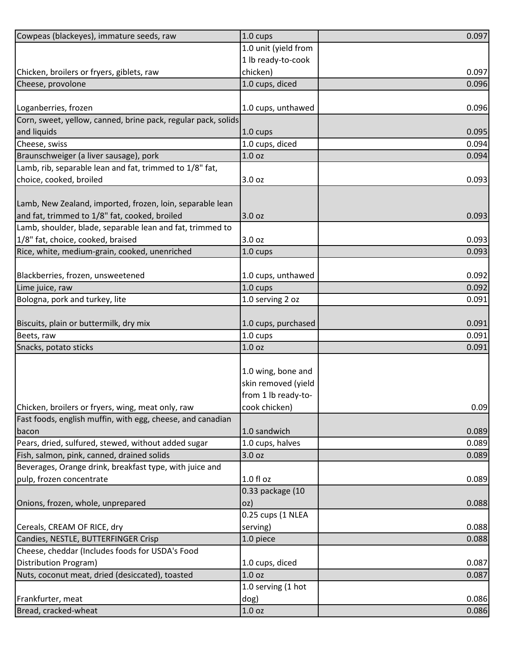| Cowpeas (blackeyes), immature seeds, raw                      | 1.0 cups             | 0.097          |
|---------------------------------------------------------------|----------------------|----------------|
|                                                               | 1.0 unit (yield from |                |
|                                                               | 1 lb ready-to-cook   |                |
| Chicken, broilers or fryers, giblets, raw                     | chicken)             | 0.097          |
| Cheese, provolone                                             | 1.0 cups, diced      | 0.096          |
|                                                               |                      |                |
| Loganberries, frozen                                          | 1.0 cups, unthawed   | 0.096          |
| Corn, sweet, yellow, canned, brine pack, regular pack, solids |                      |                |
| and liquids                                                   | 1.0 cups             | 0.095          |
| Cheese, swiss                                                 | 1.0 cups, diced      | 0.094          |
| Braunschweiger (a liver sausage), pork                        | 1.0 <sub>oz</sub>    | 0.094          |
| Lamb, rib, separable lean and fat, trimmed to 1/8" fat,       |                      |                |
| choice, cooked, broiled                                       | 3.0 oz               | 0.093          |
|                                                               |                      |                |
| Lamb, New Zealand, imported, frozen, loin, separable lean     |                      |                |
| and fat, trimmed to 1/8" fat, cooked, broiled                 | 3.0 oz               | 0.093          |
| Lamb, shoulder, blade, separable lean and fat, trimmed to     |                      |                |
| 1/8" fat, choice, cooked, braised                             | 3.0 oz               | 0.093          |
| Rice, white, medium-grain, cooked, unenriched                 | 1.0 cups             | 0.093          |
|                                                               |                      |                |
| Blackberries, frozen, unsweetened                             | 1.0 cups, unthawed   | 0.092          |
| Lime juice, raw                                               | 1.0 cups             | 0.092          |
| Bologna, pork and turkey, lite                                | 1.0 serving 2 oz     | 0.091          |
|                                                               |                      |                |
| Biscuits, plain or buttermilk, dry mix                        | 1.0 cups, purchased  | 0.091<br>0.091 |
| Beets, raw                                                    | 1.0 cups             | 0.091          |
| Snacks, potato sticks                                         | 1.0 <sub>oz</sub>    |                |
|                                                               | 1.0 wing, bone and   |                |
|                                                               | skin removed (yield  |                |
|                                                               | from 1 lb ready-to-  |                |
| Chicken, broilers or fryers, wing, meat only, raw             | cook chicken)        | 0.09           |
| Fast foods, english muffin, with egg, cheese, and canadian    |                      |                |
| bacon                                                         | 1.0 sandwich         | 0.089          |
| Pears, dried, sulfured, stewed, without added sugar           | 1.0 cups, halves     | 0.089          |
| Fish, salmon, pink, canned, drained solids                    | 3.0 oz               | 0.089          |
| Beverages, Orange drink, breakfast type, with juice and       |                      |                |
| pulp, frozen concentrate                                      | 1.0 f1 oz            | 0.089          |
|                                                               | 0.33 package (10     |                |
| Onions, frozen, whole, unprepared                             | oz)                  | 0.088          |
|                                                               | 0.25 cups (1 NLEA    |                |
| Cereals, CREAM OF RICE, dry                                   | serving)             | 0.088          |
| Candies, NESTLE, BUTTERFINGER Crisp                           | 1.0 piece            | 0.088          |
| Cheese, cheddar (Includes foods for USDA's Food               |                      |                |
| Distribution Program)                                         | 1.0 cups, diced      | 0.087          |
| Nuts, coconut meat, dried (desiccated), toasted               | 1.0 <sub>oz</sub>    | 0.087          |
|                                                               | 1.0 serving (1 hot   |                |
| Frankfurter, meat                                             | dog)                 | 0.086          |
| Bread, cracked-wheat                                          | 1.0 <sub>oz</sub>    | 0.086          |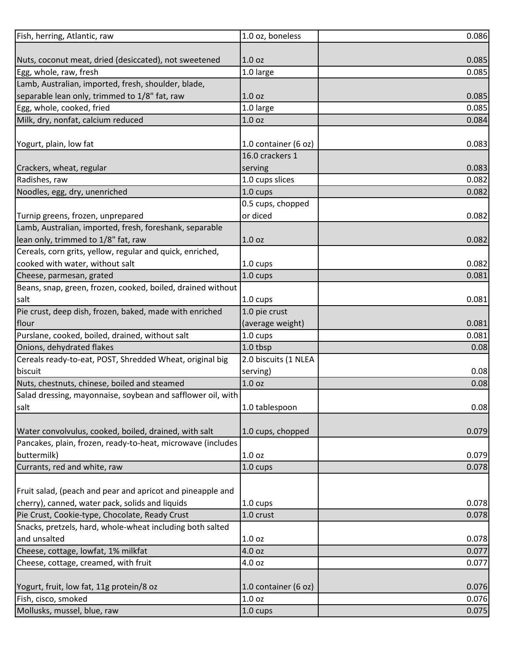| Fish, herring, Atlantic, raw                                | 1.0 oz, boneless     | 0.086 |
|-------------------------------------------------------------|----------------------|-------|
|                                                             |                      |       |
| Nuts, coconut meat, dried (desiccated), not sweetened       | 1.0 <sub>oz</sub>    | 0.085 |
| Egg, whole, raw, fresh                                      | 1.0 large            | 0.085 |
| Lamb, Australian, imported, fresh, shoulder, blade,         |                      |       |
| separable lean only, trimmed to 1/8" fat, raw               | 1.0 <sub>oz</sub>    | 0.085 |
| Egg, whole, cooked, fried                                   | 1.0 large            | 0.085 |
| Milk, dry, nonfat, calcium reduced                          | 1.0 <sub>oz</sub>    | 0.084 |
|                                                             |                      |       |
| Yogurt, plain, low fat                                      | 1.0 container (6 oz) | 0.083 |
|                                                             | 16.0 crackers 1      |       |
| Crackers, wheat, regular                                    | serving              | 0.083 |
| Radishes, raw                                               | 1.0 cups slices      | 0.082 |
| Noodles, egg, dry, unenriched                               | 1.0 cups             | 0.082 |
|                                                             | 0.5 cups, chopped    |       |
| Turnip greens, frozen, unprepared                           | or diced             | 0.082 |
| Lamb, Australian, imported, fresh, foreshank, separable     |                      |       |
| lean only, trimmed to 1/8" fat, raw                         | 1.0 <sub>oz</sub>    | 0.082 |
| Cereals, corn grits, yellow, regular and quick, enriched,   |                      |       |
| cooked with water, without salt                             | 1.0 cups             | 0.082 |
| Cheese, parmesan, grated                                    | 1.0 cups             | 0.081 |
| Beans, snap, green, frozen, cooked, boiled, drained without |                      |       |
| salt                                                        | 1.0 cups             | 0.081 |
| Pie crust, deep dish, frozen, baked, made with enriched     | 1.0 pie crust        |       |
| flour                                                       | (average weight)     | 0.081 |
| Purslane, cooked, boiled, drained, without salt             | 1.0 cups             | 0.081 |
| Onions, dehydrated flakes                                   | 1.0 tbsp             | 0.08  |
| Cereals ready-to-eat, POST, Shredded Wheat, original big    | 2.0 biscuits (1 NLEA |       |
| biscuit                                                     | serving)             | 0.08  |
| Nuts, chestnuts, chinese, boiled and steamed                | 1.0 <sub>oz</sub>    | 0.08  |
| Salad dressing, mayonnaise, soybean and safflower oil, with |                      |       |
| salt                                                        | 1.0 tablespoon       | 0.08  |
|                                                             |                      |       |
| Water convolvulus, cooked, boiled, drained, with salt       | 1.0 cups, chopped    | 0.079 |
| Pancakes, plain, frozen, ready-to-heat, microwave (includes |                      |       |
| buttermilk)                                                 | 1.0 <sub>oz</sub>    | 0.079 |
| Currants, red and white, raw                                | 1.0 cups             | 0.078 |
|                                                             |                      |       |
| Fruit salad, (peach and pear and apricot and pineapple and  |                      |       |
| cherry), canned, water pack, solids and liquids             | 1.0 cups             | 0.078 |
| Pie Crust, Cookie-type, Chocolate, Ready Crust              | 1.0 crust            | 0.078 |
| Snacks, pretzels, hard, whole-wheat including both salted   |                      |       |
| and unsalted                                                | 1.0 <sub>oz</sub>    | 0.078 |
| Cheese, cottage, lowfat, 1% milkfat                         | 4.0 oz               | 0.077 |
| Cheese, cottage, creamed, with fruit                        | 4.0 oz               | 0.077 |
|                                                             |                      |       |
| Yogurt, fruit, low fat, 11g protein/8 oz                    | 1.0 container (6 oz) | 0.076 |
| Fish, cisco, smoked                                         | 1.0 <sub>oz</sub>    | 0.076 |
| Mollusks, mussel, blue, raw                                 | 1.0 cups             | 0.075 |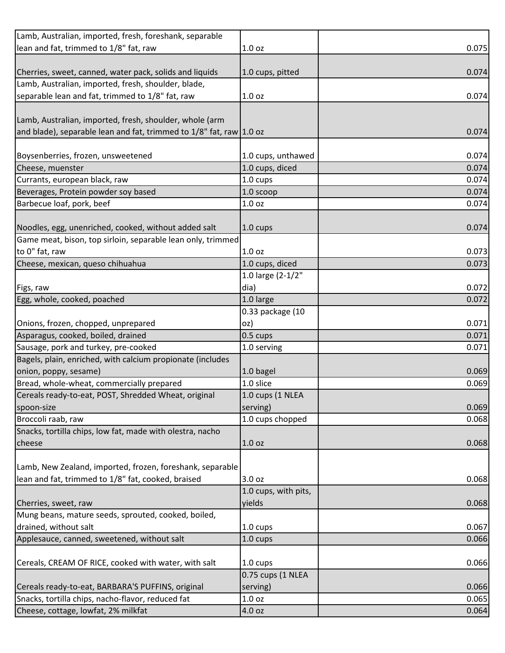| Lamb, Australian, imported, fresh, foreshank, separable             |                      |       |
|---------------------------------------------------------------------|----------------------|-------|
| lean and fat, trimmed to 1/8" fat, raw                              | 1.0 <sub>oz</sub>    | 0.075 |
|                                                                     |                      |       |
| Cherries, sweet, canned, water pack, solids and liquids             | 1.0 cups, pitted     | 0.074 |
| Lamb, Australian, imported, fresh, shoulder, blade,                 |                      |       |
| separable lean and fat, trimmed to 1/8" fat, raw                    | 1.0 <sub>oz</sub>    | 0.074 |
|                                                                     |                      |       |
| Lamb, Australian, imported, fresh, shoulder, whole (arm             |                      |       |
| and blade), separable lean and fat, trimmed to 1/8" fat, raw 1.0 oz |                      | 0.074 |
|                                                                     |                      |       |
| Boysenberries, frozen, unsweetened                                  | 1.0 cups, unthawed   | 0.074 |
| Cheese, muenster                                                    | 1.0 cups, diced      | 0.074 |
| Currants, european black, raw                                       | 1.0 cups             | 0.074 |
| Beverages, Protein powder soy based                                 | 1.0 scoop            | 0.074 |
| Barbecue loaf, pork, beef                                           | 1.0 <sub>oz</sub>    | 0.074 |
|                                                                     |                      |       |
| Noodles, egg, unenriched, cooked, without added salt                | $1.0 \text{ cups}$   | 0.074 |
| Game meat, bison, top sirloin, separable lean only, trimmed         |                      |       |
| to 0" fat, raw                                                      | 1.0 <sub>oz</sub>    | 0.073 |
| Cheese, mexican, queso chihuahua                                    | 1.0 cups, diced      | 0.073 |
|                                                                     | 1.0 large (2-1/2"    |       |
| Figs, raw                                                           | dia)                 | 0.072 |
| Egg, whole, cooked, poached                                         | 1.0 large            | 0.072 |
|                                                                     | 0.33 package (10     |       |
| Onions, frozen, chopped, unprepared                                 | oz)                  | 0.071 |
| Asparagus, cooked, boiled, drained                                  | 0.5 cups             | 0.071 |
| Sausage, pork and turkey, pre-cooked                                | 1.0 serving          | 0.071 |
| Bagels, plain, enriched, with calcium propionate (includes          |                      |       |
| onion, poppy, sesame)                                               | 1.0 bagel            | 0.069 |
| Bread, whole-wheat, commercially prepared                           | 1.0 slice            | 0.069 |
| Cereals ready-to-eat, POST, Shredded Wheat, original                | 1.0 cups (1 NLEA     |       |
| spoon-size                                                          | serving)             | 0.069 |
| Broccoli raab, raw                                                  | 1.0 cups chopped     | 0.068 |
| Snacks, tortilla chips, low fat, made with olestra, nacho           |                      |       |
| cheese                                                              | 1.0 <sub>oz</sub>    | 0.068 |
|                                                                     |                      |       |
| Lamb, New Zealand, imported, frozen, foreshank, separable           |                      |       |
| lean and fat, trimmed to 1/8" fat, cooked, braised                  | 3.0 oz               | 0.068 |
|                                                                     | 1.0 cups, with pits, |       |
| Cherries, sweet, raw                                                | yields               | 0.068 |
| Mung beans, mature seeds, sprouted, cooked, boiled,                 |                      |       |
| drained, without salt                                               | 1.0 cups             | 0.067 |
| Applesauce, canned, sweetened, without salt                         | 1.0 cups             | 0.066 |
|                                                                     |                      |       |
| Cereals, CREAM OF RICE, cooked with water, with salt                | 1.0 cups             | 0.066 |
|                                                                     | 0.75 cups (1 NLEA    |       |
| Cereals ready-to-eat, BARBARA'S PUFFINS, original                   | serving)             | 0.066 |
| Snacks, tortilla chips, nacho-flavor, reduced fat                   | 1.0 oz               | 0.065 |
| Cheese, cottage, lowfat, 2% milkfat                                 | 4.0 oz               | 0.064 |
|                                                                     |                      |       |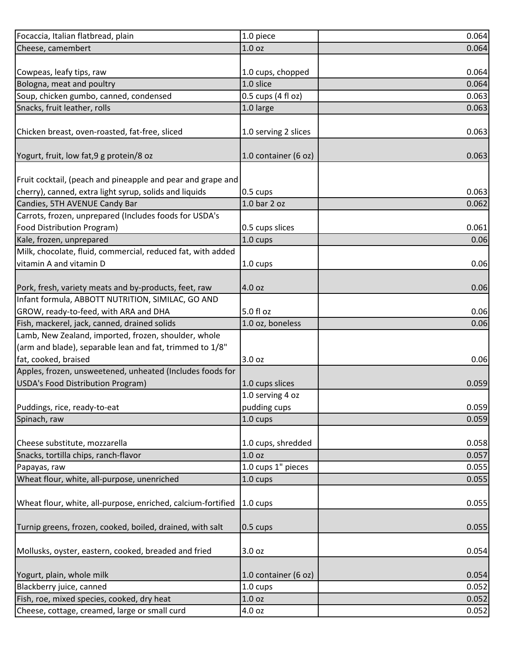| Focaccia, Italian flatbread, plain                           | 1.0 piece            | 0.064 |
|--------------------------------------------------------------|----------------------|-------|
| Cheese, camembert                                            | 1.0 <sub>oz</sub>    | 0.064 |
|                                                              |                      |       |
| Cowpeas, leafy tips, raw                                     | 1.0 cups, chopped    | 0.064 |
| Bologna, meat and poultry                                    | 1.0 slice            | 0.064 |
| Soup, chicken gumbo, canned, condensed                       | 0.5 cups (4 fl oz)   | 0.063 |
| Snacks, fruit leather, rolls                                 | 1.0 large            | 0.063 |
|                                                              |                      |       |
| Chicken breast, oven-roasted, fat-free, sliced               | 1.0 serving 2 slices | 0.063 |
|                                                              |                      |       |
| Yogurt, fruit, low fat, 9 g protein/8 oz                     | 1.0 container (6 oz) | 0.063 |
|                                                              |                      |       |
| Fruit cocktail, (peach and pineapple and pear and grape and  |                      |       |
| cherry), canned, extra light syrup, solids and liquids       | $0.5 \text{ cups}$   | 0.063 |
| Candies, 5TH AVENUE Candy Bar                                | 1.0 bar 2 oz         | 0.062 |
| Carrots, frozen, unprepared (Includes foods for USDA's       |                      |       |
| Food Distribution Program)                                   | 0.5 cups slices      | 0.061 |
| Kale, frozen, unprepared                                     | 1.0 cups             | 0.06  |
| Milk, chocolate, fluid, commercial, reduced fat, with added  |                      |       |
| vitamin A and vitamin D                                      | 1.0 cups             | 0.06  |
|                                                              |                      |       |
| Pork, fresh, variety meats and by-products, feet, raw        | 4.0 oz               | 0.06  |
| Infant formula, ABBOTT NUTRITION, SIMILAC, GO AND            |                      |       |
| GROW, ready-to-feed, with ARA and DHA                        | 5.0 fl oz            | 0.06  |
| Fish, mackerel, jack, canned, drained solids                 | 1.0 oz, boneless     | 0.06  |
| Lamb, New Zealand, imported, frozen, shoulder, whole         |                      |       |
| (arm and blade), separable lean and fat, trimmed to 1/8"     |                      |       |
| fat, cooked, braised                                         | 3.0 <sub>oz</sub>    | 0.06  |
| Apples, frozen, unsweetened, unheated (Includes foods for    |                      |       |
| USDA's Food Distribution Program)                            | 1.0 cups slices      | 0.059 |
|                                                              | 1.0 serving 4 oz     |       |
| Puddings, rice, ready-to-eat                                 | pudding cups         | 0.059 |
| Spinach, raw                                                 | 1.0 cups             | 0.059 |
|                                                              |                      |       |
| Cheese substitute, mozzarella                                | 1.0 cups, shredded   | 0.058 |
| Snacks, tortilla chips, ranch-flavor                         | 1.0 <sub>oz</sub>    | 0.057 |
| Papayas, raw                                                 | 1.0 cups 1" pieces   | 0.055 |
| Wheat flour, white, all-purpose, unenriched                  | 1.0 cups             | 0.055 |
|                                                              |                      |       |
| Wheat flour, white, all-purpose, enriched, calcium-fortified | $1.0 \text{ cups}$   | 0.055 |
|                                                              |                      |       |
| Turnip greens, frozen, cooked, boiled, drained, with salt    | 0.5 cups             | 0.055 |
|                                                              |                      |       |
| Mollusks, oyster, eastern, cooked, breaded and fried         | 3.0 oz               | 0.054 |
|                                                              |                      |       |
| Yogurt, plain, whole milk                                    | 1.0 container (6 oz) | 0.054 |
| Blackberry juice, canned                                     | 1.0 cups             | 0.052 |
| Fish, roe, mixed species, cooked, dry heat                   | 1.0 <sub>oz</sub>    | 0.052 |
| Cheese, cottage, creamed, large or small curd                | 4.0 oz               | 0.052 |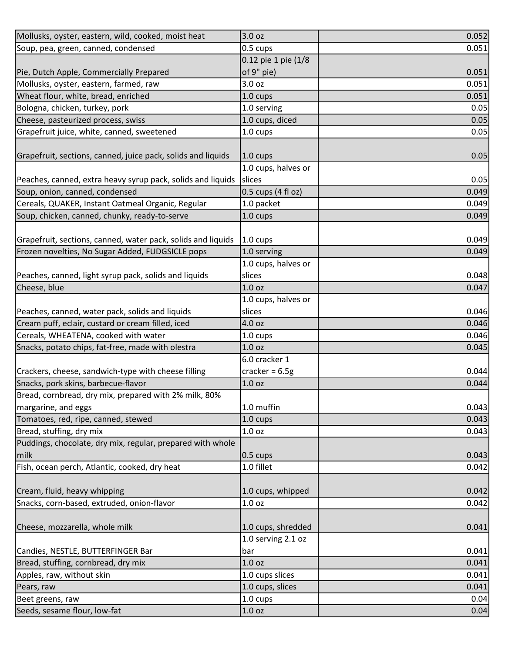| Mollusks, oyster, eastern, wild, cooked, moist heat          | 3.0 oz               | 0.052 |
|--------------------------------------------------------------|----------------------|-------|
| Soup, pea, green, canned, condensed                          | 0.5 cups             | 0.051 |
|                                                              | 0.12 pie 1 pie (1/8  |       |
| Pie, Dutch Apple, Commercially Prepared                      | of 9" pie)           | 0.051 |
| Mollusks, oyster, eastern, farmed, raw                       | 3.0 <sub>oz</sub>    | 0.051 |
| Wheat flour, white, bread, enriched                          | 1.0 cups             | 0.051 |
| Bologna, chicken, turkey, pork                               | 1.0 serving          | 0.05  |
| Cheese, pasteurized process, swiss                           | 1.0 cups, diced      | 0.05  |
| Grapefruit juice, white, canned, sweetened                   | 1.0 cups             | 0.05  |
|                                                              |                      |       |
| Grapefruit, sections, canned, juice pack, solids and liquids | 1.0 cups             | 0.05  |
|                                                              | 1.0 cups, halves or  |       |
| Peaches, canned, extra heavy syrup pack, solids and liquids  | slices               | 0.05  |
| Soup, onion, canned, condensed                               | $0.5$ cups (4 fl oz) | 0.049 |
| Cereals, QUAKER, Instant Oatmeal Organic, Regular            | 1.0 packet           | 0.049 |
| Soup, chicken, canned, chunky, ready-to-serve                | 1.0 cups             | 0.049 |
|                                                              |                      |       |
| Grapefruit, sections, canned, water pack, solids and liquids | $1.0 \text{ cups}$   | 0.049 |
| Frozen novelties, No Sugar Added, FUDGSICLE pops             | 1.0 serving          | 0.049 |
|                                                              | 1.0 cups, halves or  |       |
| Peaches, canned, light syrup pack, solids and liquids        | slices               | 0.048 |
| Cheese, blue                                                 | 1.0 <sub>oz</sub>    | 0.047 |
|                                                              | 1.0 cups, halves or  |       |
| Peaches, canned, water pack, solids and liquids              | slices               | 0.046 |
| Cream puff, eclair, custard or cream filled, iced            | 4.0 oz               | 0.046 |
| Cereals, WHEATENA, cooked with water                         | 1.0 cups             | 0.046 |
| Snacks, potato chips, fat-free, made with olestra            | 1.0 <sub>oz</sub>    | 0.045 |
|                                                              | 6.0 cracker 1        |       |
| Crackers, cheese, sandwich-type with cheese filling          | cracker = $6.5g$     | 0.044 |
| Snacks, pork skins, barbecue-flavor                          | 1.0 <sub>oz</sub>    | 0.044 |
| Bread, cornbread, dry mix, prepared with 2% milk, 80%        |                      |       |
| margarine, and eggs                                          | 1.0 muffin           | 0.043 |
| Tomatoes, red, ripe, canned, stewed                          | 1.0 cups             | 0.043 |
| Bread, stuffing, dry mix                                     | 1.0 <sub>oz</sub>    | 0.043 |
| Puddings, chocolate, dry mix, regular, prepared with whole   |                      |       |
| milk                                                         | 0.5 cups             | 0.043 |
| Fish, ocean perch, Atlantic, cooked, dry heat                | 1.0 fillet           | 0.042 |
|                                                              |                      |       |
| Cream, fluid, heavy whipping                                 | 1.0 cups, whipped    | 0.042 |
| Snacks, corn-based, extruded, onion-flavor                   | 1.0 <sub>oz</sub>    | 0.042 |
|                                                              |                      |       |
| Cheese, mozzarella, whole milk                               | 1.0 cups, shredded   | 0.041 |
|                                                              | 1.0 serving 2.1 oz   |       |
| Candies, NESTLE, BUTTERFINGER Bar                            | bar                  | 0.041 |
| Bread, stuffing, cornbread, dry mix                          | 1.0 <sub>oz</sub>    | 0.041 |
| Apples, raw, without skin                                    | 1.0 cups slices      | 0.041 |
| Pears, raw                                                   | 1.0 cups, slices     | 0.041 |
| Beet greens, raw                                             | 1.0 cups             | 0.04  |
| Seeds, sesame flour, low-fat                                 | 1.0 oz               | 0.04  |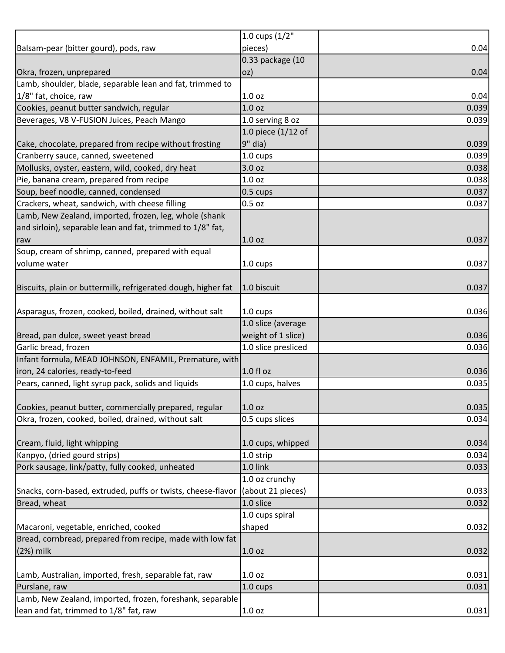|                                                               | 1.0 cups $(1/2"$    |       |
|---------------------------------------------------------------|---------------------|-------|
| Balsam-pear (bitter gourd), pods, raw                         | pieces)             | 0.04  |
|                                                               | 0.33 package (10    |       |
| Okra, frozen, unprepared                                      | oz)                 | 0.04  |
| Lamb, shoulder, blade, separable lean and fat, trimmed to     |                     |       |
| 1/8" fat, choice, raw                                         | 1.0 <sub>oz</sub>   | 0.04  |
| Cookies, peanut butter sandwich, regular                      | 1.0 <sub>oz</sub>   | 0.039 |
| Beverages, V8 V-FUSION Juices, Peach Mango                    | 1.0 serving 8 oz    | 0.039 |
|                                                               | 1.0 piece (1/12 of  |       |
| Cake, chocolate, prepared from recipe without frosting        | $9"$ dia)           | 0.039 |
| Cranberry sauce, canned, sweetened                            | $1.0 \text{ cups}$  | 0.039 |
| Mollusks, oyster, eastern, wild, cooked, dry heat             | 3.0 oz              | 0.038 |
| Pie, banana cream, prepared from recipe                       | 1.0 <sub>oz</sub>   | 0.038 |
| Soup, beef noodle, canned, condensed                          | 0.5 cups            | 0.037 |
| Crackers, wheat, sandwich, with cheese filling                | 0.5 <sub>oz</sub>   | 0.037 |
| Lamb, New Zealand, imported, frozen, leg, whole (shank        |                     |       |
| and sirloin), separable lean and fat, trimmed to 1/8" fat,    |                     |       |
| raw                                                           | 1.0 <sub>oz</sub>   | 0.037 |
| Soup, cream of shrimp, canned, prepared with equal            |                     |       |
| volume water                                                  | 1.0 cups            | 0.037 |
|                                                               |                     |       |
| Biscuits, plain or buttermilk, refrigerated dough, higher fat | 1.0 biscuit         | 0.037 |
|                                                               |                     |       |
| Asparagus, frozen, cooked, boiled, drained, without salt      | 1.0 cups            | 0.036 |
|                                                               | 1.0 slice (average  |       |
| Bread, pan dulce, sweet yeast bread                           | weight of 1 slice)  | 0.036 |
| Garlic bread, frozen                                          | 1.0 slice presliced | 0.036 |
| Infant formula, MEAD JOHNSON, ENFAMIL, Premature, with        |                     |       |
| iron, 24 calories, ready-to-feed                              | 1.0 fl oz           | 0.036 |
| Pears, canned, light syrup pack, solids and liquids           | 1.0 cups, halves    | 0.035 |
|                                                               |                     |       |
| Cookies, peanut butter, commercially prepared, regular        | 1.0 <sub>oz</sub>   | 0.035 |
| Okra, frozen, cooked, boiled, drained, without salt           | 0.5 cups slices     | 0.034 |
|                                                               |                     |       |
| Cream, fluid, light whipping                                  | 1.0 cups, whipped   | 0.034 |
| Kanpyo, (dried gourd strips)                                  | 1.0 strip           | 0.034 |
| Pork sausage, link/patty, fully cooked, unheated              | 1.0 link            | 0.033 |
|                                                               | 1.0 oz crunchy      |       |
| Snacks, corn-based, extruded, puffs or twists, cheese-flavor  | (about 21 pieces)   | 0.033 |
| Bread, wheat                                                  | 1.0 slice           | 0.032 |
|                                                               | 1.0 cups spiral     |       |
| Macaroni, vegetable, enriched, cooked                         | shaped              | 0.032 |
| Bread, cornbread, prepared from recipe, made with low fat     |                     |       |
| $(2%)$ milk                                                   | 1.0 <sub>oz</sub>   | 0.032 |
|                                                               |                     |       |
| Lamb, Australian, imported, fresh, separable fat, raw         | 1.0 <sub>oz</sub>   | 0.031 |
| Purslane, raw                                                 | 1.0 cups            | 0.031 |
| Lamb, New Zealand, imported, frozen, foreshank, separable     |                     |       |
| lean and fat, trimmed to 1/8" fat, raw                        | 1.0 <sub>oz</sub>   | 0.031 |
|                                                               |                     |       |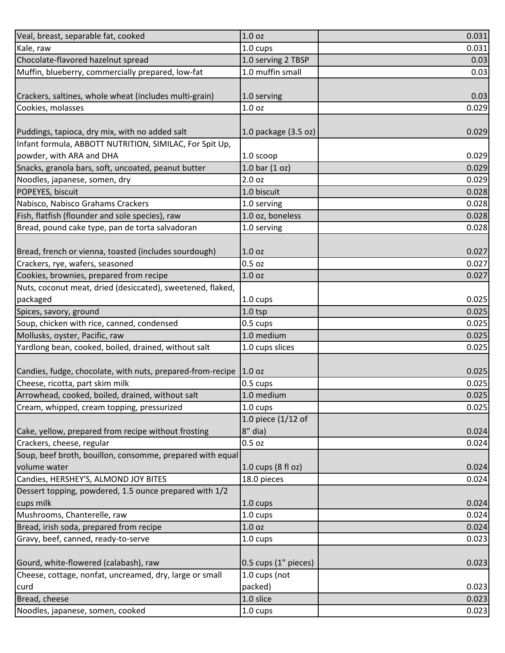| Veal, breast, separable fat, cooked                        | 1.0 <sub>oz</sub>    | 0.031 |
|------------------------------------------------------------|----------------------|-------|
| Kale, raw                                                  | 1.0 cups             | 0.031 |
| Chocolate-flavored hazelnut spread                         | 1.0 serving 2 TBSP   | 0.03  |
| Muffin, blueberry, commercially prepared, low-fat          | 1.0 muffin small     | 0.03  |
|                                                            |                      |       |
| Crackers, saltines, whole wheat (includes multi-grain)     | 1.0 serving          | 0.03  |
| Cookies, molasses                                          | 1.0 <sub>oz</sub>    | 0.029 |
|                                                            |                      |       |
| Puddings, tapioca, dry mix, with no added salt             | 1.0 package (3.5 oz) | 0.029 |
| Infant formula, ABBOTT NUTRITION, SIMILAC, For Spit Up,    |                      |       |
| powder, with ARA and DHA                                   | 1.0 scoop            | 0.029 |
| Snacks, granola bars, soft, uncoated, peanut butter        | 1.0 bar $(1 oz)$     | 0.029 |
| Noodles, japanese, somen, dry                              | 2.0 <sub>oz</sub>    | 0.029 |
| POPEYES, biscuit                                           | 1.0 biscuit          | 0.028 |
| Nabisco, Nabisco Grahams Crackers                          | 1.0 serving          | 0.028 |
| Fish, flatfish (flounder and sole species), raw            | 1.0 oz, boneless     | 0.028 |
| Bread, pound cake type, pan de torta salvadoran            | 1.0 serving          | 0.028 |
|                                                            |                      |       |
| Bread, french or vienna, toasted (includes sourdough)      | 1.0 <sub>oz</sub>    | 0.027 |
| Crackers, rye, wafers, seasoned                            | $0.5$ oz             | 0.027 |
| Cookies, brownies, prepared from recipe                    | 1.0 <sub>oz</sub>    | 0.027 |
| Nuts, coconut meat, dried (desiccated), sweetened, flaked, |                      |       |
| packaged                                                   | 1.0 cups             | 0.025 |
| Spices, savory, ground                                     | $1.0$ tsp            | 0.025 |
| Soup, chicken with rice, canned, condensed                 | 0.5 cups             | 0.025 |
| Mollusks, oyster, Pacific, raw                             | 1.0 medium           | 0.025 |
| Yardlong bean, cooked, boiled, drained, without salt       | 1.0 cups slices      | 0.025 |
|                                                            |                      |       |
| Candies, fudge, chocolate, with nuts, prepared-from-recipe | 1.0 oz               | 0.025 |
| Cheese, ricotta, part skim milk                            | 0.5 cups             | 0.025 |
| Arrowhead, cooked, boiled, drained, without salt           | 1.0 medium           | 0.025 |
| Cream, whipped, cream topping, pressurized                 | 1.0 cups             | 0.025 |
|                                                            | 1.0 piece (1/12 of   |       |
| Cake, yellow, prepared from recipe without frosting        | $8"$ dia)            | 0.024 |
| Crackers, cheese, regular                                  | $0.5$ oz             | 0.024 |
| Soup, beef broth, bouillon, consomme, prepared with equal  |                      |       |
| volume water                                               | 1.0 cups (8 fl oz)   | 0.024 |
| Candies, HERSHEY'S, ALMOND JOY BITES                       | 18.0 pieces          | 0.024 |
| Dessert topping, powdered, 1.5 ounce prepared with 1/2     |                      |       |
| cups milk                                                  | 1.0 cups             | 0.024 |
| Mushrooms, Chanterelle, raw                                | 1.0 cups             | 0.024 |
| Bread, irish soda, prepared from recipe                    | 1.0 <sub>oz</sub>    | 0.024 |
| Gravy, beef, canned, ready-to-serve                        | $1.0 \text{ cups}$   | 0.023 |
|                                                            |                      |       |
| Gourd, white-flowered (calabash), raw                      | 0.5 cups (1" pieces) | 0.023 |
| Cheese, cottage, nonfat, uncreamed, dry, large or small    | 1.0 cups (not        |       |
| curd                                                       | packed)              | 0.023 |
| Bread, cheese                                              | 1.0 slice            | 0.023 |
| Noodles, japanese, somen, cooked                           | 1.0 cups             | 0.023 |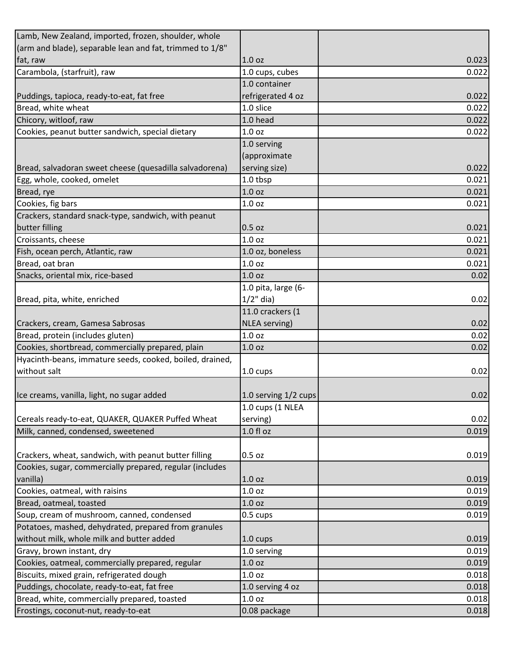| Lamb, New Zealand, imported, frozen, shoulder, whole     |                        |       |
|----------------------------------------------------------|------------------------|-------|
| (arm and blade), separable lean and fat, trimmed to 1/8" |                        |       |
| fat, raw                                                 | 1.0 <sub>oz</sub>      | 0.023 |
| Carambola, (starfruit), raw                              | 1.0 cups, cubes        | 0.022 |
|                                                          | 1.0 container          |       |
| Puddings, tapioca, ready-to-eat, fat free                | refrigerated 4 oz      | 0.022 |
| Bread, white wheat                                       | 1.0 slice              | 0.022 |
| Chicory, witloof, raw                                    | 1.0 head               | 0.022 |
| Cookies, peanut butter sandwich, special dietary         | 1.0 <sub>oz</sub>      | 0.022 |
|                                                          | 1.0 serving            |       |
|                                                          | (approximate           |       |
| Bread, salvadoran sweet cheese (quesadilla salvadorena)  | serving size)          | 0.022 |
| Egg, whole, cooked, omelet                               | 1.0 tbsp               | 0.021 |
| Bread, rye                                               | 1.0 <sub>oz</sub>      | 0.021 |
| Cookies, fig bars                                        | 1.0 <sub>oz</sub>      | 0.021 |
| Crackers, standard snack-type, sandwich, with peanut     |                        |       |
| butter filling                                           | $0.5$ oz               | 0.021 |
| Croissants, cheese                                       | 1.0 <sub>oz</sub>      | 0.021 |
| Fish, ocean perch, Atlantic, raw                         | 1.0 oz, boneless       | 0.021 |
| Bread, oat bran                                          | 1.0 <sub>oz</sub>      | 0.021 |
| Snacks, oriental mix, rice-based                         | 1.0 <sub>oz</sub>      | 0.02  |
|                                                          | 1.0 pita, large (6-    |       |
| Bread, pita, white, enriched                             | $1/2$ " dia)           | 0.02  |
|                                                          | 11.0 crackers (1       |       |
| Crackers, cream, Gamesa Sabrosas                         | NLEA serving)          | 0.02  |
| Bread, protein (includes gluten)                         | 1.0 <sub>oz</sub>      | 0.02  |
| Cookies, shortbread, commercially prepared, plain        | 1.0 <sub>oz</sub>      | 0.02  |
| Hyacinth-beans, immature seeds, cooked, boiled, drained, |                        |       |
| without salt                                             | 1.0 cups               | 0.02  |
|                                                          |                        |       |
| Ice creams, vanilla, light, no sugar added               | 1.0 serving $1/2$ cups | 0.02  |
|                                                          | 1.0 cups (1 NLEA       |       |
| Cereals ready-to-eat, QUAKER, QUAKER Puffed Wheat        | serving)               | 0.02  |
| Milk, canned, condensed, sweetened                       | $1.0 f$ l oz           | 0.019 |
|                                                          |                        |       |
| Crackers, wheat, sandwich, with peanut butter filling    | $0.5$ oz               | 0.019 |
| Cookies, sugar, commercially prepared, regular (includes |                        |       |
| vanilla)                                                 | 1.0 <sub>oz</sub>      | 0.019 |
| Cookies, oatmeal, with raisins                           | 1.0 <sub>oz</sub>      | 0.019 |
| Bread, oatmeal, toasted                                  | 1.0 <sub>oz</sub>      | 0.019 |
| Soup, cream of mushroom, canned, condensed               | $0.5 \text{ cups}$     | 0.019 |
| Potatoes, mashed, dehydrated, prepared from granules     |                        |       |
| without milk, whole milk and butter added                | 1.0 cups               | 0.019 |
| Gravy, brown instant, dry                                | 1.0 serving            | 0.019 |
| Cookies, oatmeal, commercially prepared, regular         | 1.0 <sub>oz</sub>      | 0.019 |
| Biscuits, mixed grain, refrigerated dough                | 1.0 <sub>oz</sub>      | 0.018 |
| Puddings, chocolate, ready-to-eat, fat free              | 1.0 serving 4 oz       | 0.018 |
| Bread, white, commercially prepared, toasted             | 1.0 <sub>oz</sub>      | 0.018 |
| Frostings, coconut-nut, ready-to-eat                     | 0.08 package           | 0.018 |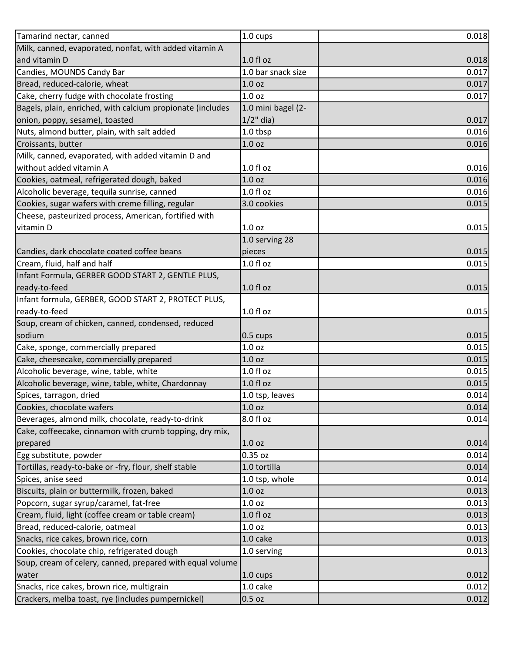| Tamarind nectar, canned                                    | 1.0 cups           | 0.018 |
|------------------------------------------------------------|--------------------|-------|
| Milk, canned, evaporated, nonfat, with added vitamin A     |                    |       |
| and vitamin D                                              | $1.0 f$ l oz       | 0.018 |
| Candies, MOUNDS Candy Bar                                  | 1.0 bar snack size | 0.017 |
| Bread, reduced-calorie, wheat                              | 1.0 <sub>oz</sub>  | 0.017 |
| Cake, cherry fudge with chocolate frosting                 | 1.0 <sub>oz</sub>  | 0.017 |
| Bagels, plain, enriched, with calcium propionate (includes | 1.0 mini bagel (2- |       |
| onion, poppy, sesame), toasted                             | $1/2$ " dia)       | 0.017 |
| Nuts, almond butter, plain, with salt added                | 1.0 tbsp           | 0.016 |
| Croissants, butter                                         | 1.0 <sub>oz</sub>  | 0.016 |
| Milk, canned, evaporated, with added vitamin D and         |                    |       |
| without added vitamin A                                    | 1.0 f1 oz          | 0.016 |
| Cookies, oatmeal, refrigerated dough, baked                | 1.0 <sub>oz</sub>  | 0.016 |
| Alcoholic beverage, tequila sunrise, canned                | 1.0 f1 oz          | 0.016 |
| Cookies, sugar wafers with creme filling, regular          | 3.0 cookies        | 0.015 |
| Cheese, pasteurized process, American, fortified with      |                    |       |
| vitamin D                                                  | 1.0 <sub>oz</sub>  | 0.015 |
|                                                            | 1.0 serving 28     |       |
| Candies, dark chocolate coated coffee beans                | pieces             | 0.015 |
| Cream, fluid, half and half                                | $1.0 f$ l oz       | 0.015 |
| Infant Formula, GERBER GOOD START 2, GENTLE PLUS,          |                    |       |
| ready-to-feed                                              | 1.0 fl oz          | 0.015 |
| Infant formula, GERBER, GOOD START 2, PROTECT PLUS,        |                    |       |
| ready-to-feed                                              | $1.0 f$ l oz       | 0.015 |
| Soup, cream of chicken, canned, condensed, reduced         |                    |       |
| sodium                                                     | $0.5 \text{ cups}$ | 0.015 |
| Cake, sponge, commercially prepared                        | 1.0 <sub>oz</sub>  | 0.015 |
| Cake, cheesecake, commercially prepared                    | 1.0 <sub>oz</sub>  | 0.015 |
| Alcoholic beverage, wine, table, white                     | 1.0 f1 oz          | 0.015 |
| Alcoholic beverage, wine, table, white, Chardonnay         | $1.0 f$ l oz       | 0.015 |
| Spices, tarragon, dried                                    | 1.0 tsp, leaves    | 0.014 |
| Cookies, chocolate wafers                                  | 1.0 <sub>oz</sub>  | 0.014 |
| Beverages, almond milk, chocolate, ready-to-drink          | 8.0 fl oz          | 0.014 |
| Cake, coffeecake, cinnamon with crumb topping, dry mix,    |                    |       |
| prepared                                                   | 1.0 <sub>oz</sub>  | 0.014 |
| Egg substitute, powder                                     | 0.35 oz            | 0.014 |
| Tortillas, ready-to-bake or -fry, flour, shelf stable      | 1.0 tortilla       | 0.014 |
| Spices, anise seed                                         | 1.0 tsp, whole     | 0.014 |
| Biscuits, plain or buttermilk, frozen, baked               | 1.0 <sub>oz</sub>  | 0.013 |
| Popcorn, sugar syrup/caramel, fat-free                     | 1.0 <sub>oz</sub>  | 0.013 |
| Cream, fluid, light (coffee cream or table cream)          | $1.0 f$ l oz       | 0.013 |
| Bread, reduced-calorie, oatmeal                            | 1.0 <sub>oz</sub>  | 0.013 |
| Snacks, rice cakes, brown rice, corn                       | 1.0 cake           | 0.013 |
| Cookies, chocolate chip, refrigerated dough                | 1.0 serving        | 0.013 |
| Soup, cream of celery, canned, prepared with equal volume  |                    |       |
| water                                                      | $1.0 \text{ cups}$ | 0.012 |
| Snacks, rice cakes, brown rice, multigrain                 | 1.0 cake           | 0.012 |
| Crackers, melba toast, rye (includes pumpernickel)         | $0.5$ oz           | 0.012 |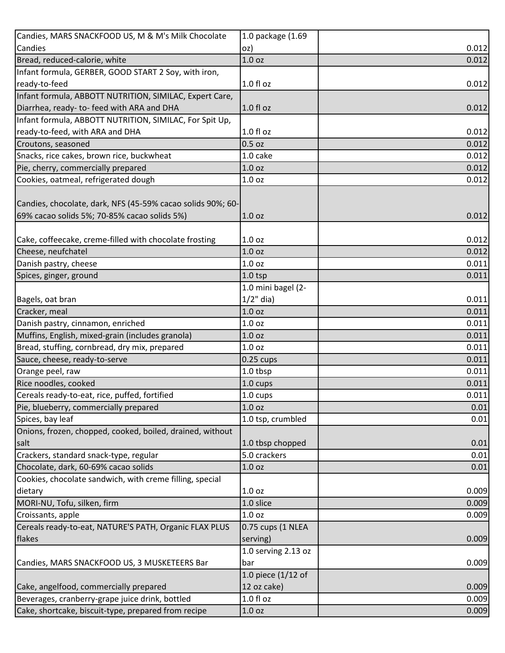| Candies, MARS SNACKFOOD US, M & M's Milk Chocolate                                                          | 1.0 package (1.69   |       |
|-------------------------------------------------------------------------------------------------------------|---------------------|-------|
| Candies                                                                                                     | oz)                 | 0.012 |
| Bread, reduced-calorie, white                                                                               | 1.0 <sub>oz</sub>   | 0.012 |
| Infant formula, GERBER, GOOD START 2 Soy, with iron,                                                        |                     |       |
| ready-to-feed                                                                                               | $1.0 f$ l oz        | 0.012 |
| Infant formula, ABBOTT NUTRITION, SIMILAC, Expert Care,                                                     |                     |       |
| Diarrhea, ready- to-feed with ARA and DHA                                                                   | $1.0 f$ l oz        | 0.012 |
| Infant formula, ABBOTT NUTRITION, SIMILAC, For Spit Up,                                                     |                     |       |
| ready-to-feed, with ARA and DHA                                                                             | $1.0f$ l oz         | 0.012 |
| Croutons, seasoned                                                                                          | $0.5$ oz            | 0.012 |
| Snacks, rice cakes, brown rice, buckwheat                                                                   | 1.0 cake            | 0.012 |
| Pie, cherry, commercially prepared                                                                          | 1.0 <sub>oz</sub>   | 0.012 |
| Cookies, oatmeal, refrigerated dough                                                                        | 1.0 <sub>oz</sub>   | 0.012 |
| Candies, chocolate, dark, NFS (45-59% cacao solids 90%; 60-<br>69% cacao solids 5%; 70-85% cacao solids 5%) | 1.0 <sub>oz</sub>   | 0.012 |
|                                                                                                             |                     |       |
| Cake, coffeecake, creme-filled with chocolate frosting                                                      | 1.0 <sub>oz</sub>   | 0.012 |
| Cheese, neufchatel                                                                                          | 1.0 <sub>oz</sub>   | 0.012 |
| Danish pastry, cheese                                                                                       | 1.0 <sub>oz</sub>   | 0.011 |
| Spices, ginger, ground                                                                                      | $1.0$ tsp           | 0.011 |
|                                                                                                             | 1.0 mini bagel (2-  |       |
| Bagels, oat bran                                                                                            | $1/2$ " dia)        | 0.011 |
| Cracker, meal                                                                                               | 1.0 <sub>oz</sub>   | 0.011 |
| Danish pastry, cinnamon, enriched                                                                           | 1.0 <sub>oz</sub>   | 0.011 |
| Muffins, English, mixed-grain (includes granola)                                                            | 1.0 <sub>oz</sub>   | 0.011 |
| Bread, stuffing, cornbread, dry mix, prepared                                                               | 1.0 <sub>oz</sub>   | 0.011 |
| Sauce, cheese, ready-to-serve                                                                               | $0.25$ cups         | 0.011 |
| Orange peel, raw                                                                                            | 1.0 tbsp            | 0.011 |
| Rice noodles, cooked                                                                                        | 1.0 cups            | 0.011 |
| Cereals ready-to-eat, rice, puffed, fortified                                                               | 1.0 cups            | 0.011 |
| Pie, blueberry, commercially prepared                                                                       | 1.0 <sub>oz</sub>   | 0.01  |
| Spices, bay leaf                                                                                            | 1.0 tsp, crumbled   | 0.01  |
| Onions, frozen, chopped, cooked, boiled, drained, without                                                   |                     |       |
| salt                                                                                                        | 1.0 tbsp chopped    | 0.01  |
| Crackers, standard snack-type, regular                                                                      | 5.0 crackers        | 0.01  |
| Chocolate, dark, 60-69% cacao solids                                                                        | 1.0 <sub>oz</sub>   | 0.01  |
| Cookies, chocolate sandwich, with creme filling, special                                                    |                     |       |
| dietary                                                                                                     | 1.0 <sub>oz</sub>   | 0.009 |
| MORI-NU, Tofu, silken, firm                                                                                 | 1.0 slice           | 0.009 |
| Croissants, apple                                                                                           | 1.0 <sub>oz</sub>   | 0.009 |
| Cereals ready-to-eat, NATURE'S PATH, Organic FLAX PLUS                                                      | 0.75 cups (1 NLEA   |       |
| flakes                                                                                                      | serving)            | 0.009 |
|                                                                                                             | 1.0 serving 2.13 oz |       |
| Candies, MARS SNACKFOOD US, 3 MUSKETEERS Bar                                                                | bar                 | 0.009 |
|                                                                                                             | 1.0 piece (1/12 of  |       |
| Cake, angelfood, commercially prepared                                                                      | 12 oz cake)         | 0.009 |
| Beverages, cranberry-grape juice drink, bottled                                                             | $1.0 f$ l oz        | 0.009 |
| Cake, shortcake, biscuit-type, prepared from recipe                                                         | 1.0 <sub>oz</sub>   | 0.009 |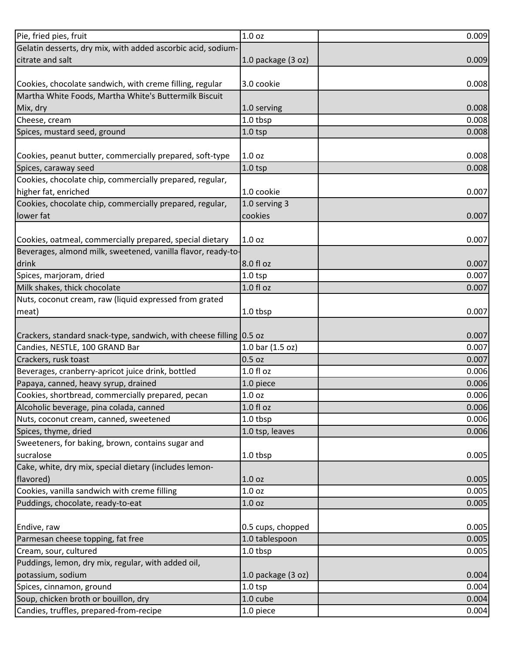| Pie, fried pies, fruit                                              | 1.0 <sub>oz</sub>  | 0.009 |
|---------------------------------------------------------------------|--------------------|-------|
| Gelatin desserts, dry mix, with added ascorbic acid, sodium-        |                    |       |
| citrate and salt                                                    | 1.0 package (3 oz) | 0.009 |
|                                                                     |                    |       |
| Cookies, chocolate sandwich, with creme filling, regular            | 3.0 cookie         | 0.008 |
| Martha White Foods, Martha White's Buttermilk Biscuit               |                    |       |
| Mix, dry                                                            | 1.0 serving        | 0.008 |
| Cheese, cream                                                       | 1.0 tbsp           | 0.008 |
| Spices, mustard seed, ground                                        | $1.0$ tsp          | 0.008 |
|                                                                     |                    |       |
| Cookies, peanut butter, commercially prepared, soft-type            | 1.0 <sub>oz</sub>  | 0.008 |
| Spices, caraway seed                                                | $1.0$ tsp          | 0.008 |
| Cookies, chocolate chip, commercially prepared, regular,            |                    |       |
| higher fat, enriched                                                | 1.0 cookie         | 0.007 |
| Cookies, chocolate chip, commercially prepared, regular,            | 1.0 serving 3      |       |
| lower fat                                                           | cookies            | 0.007 |
|                                                                     |                    |       |
| Cookies, oatmeal, commercially prepared, special dietary            | 1.0 <sub>oz</sub>  | 0.007 |
| Beverages, almond milk, sweetened, vanilla flavor, ready-to-        |                    |       |
| drink                                                               | 8.0 fl oz          | 0.007 |
| Spices, marjoram, dried                                             | $1.0$ tsp          | 0.007 |
| Milk shakes, thick chocolate                                        | 1.0 fl oz          | 0.007 |
| Nuts, coconut cream, raw (liquid expressed from grated              |                    |       |
| meat)                                                               | 1.0 tbsp           | 0.007 |
|                                                                     |                    |       |
| Crackers, standard snack-type, sandwich, with cheese filling 0.5 oz |                    | 0.007 |
| Candies, NESTLE, 100 GRAND Bar                                      | 1.0 bar (1.5 oz)   | 0.007 |
| Crackers, rusk toast                                                | $0.5$ oz           | 0.007 |
| Beverages, cranberry-apricot juice drink, bottled                   | $1.0 f$ l oz       | 0.006 |
| Papaya, canned, heavy syrup, drained                                | 1.0 piece          | 0.006 |
| Cookies, shortbread, commercially prepared, pecan                   | 1.0 oz             | 0.006 |
| Alcoholic beverage, pina colada, canned                             | $1.0 f$ l oz       | 0.006 |
| Nuts, coconut cream, canned, sweetened                              | 1.0 tbsp           | 0.006 |
| Spices, thyme, dried                                                | 1.0 tsp, leaves    | 0.006 |
| Sweeteners, for baking, brown, contains sugar and                   |                    |       |
| sucralose                                                           | 1.0 tbsp           | 0.005 |
| Cake, white, dry mix, special dietary (includes lemon-              |                    |       |
| flavored)                                                           | 1.0 <sub>oz</sub>  | 0.005 |
| Cookies, vanilla sandwich with creme filling                        | 1.0 <sub>oz</sub>  | 0.005 |
| Puddings, chocolate, ready-to-eat                                   | 1.0 <sub>oz</sub>  | 0.005 |
|                                                                     |                    |       |
| Endive, raw                                                         | 0.5 cups, chopped  | 0.005 |
| Parmesan cheese topping, fat free                                   | 1.0 tablespoon     | 0.005 |
| Cream, sour, cultured                                               | 1.0 tbsp           | 0.005 |
| Puddings, lemon, dry mix, regular, with added oil,                  |                    |       |
| potassium, sodium                                                   | 1.0 package (3 oz) | 0.004 |
| Spices, cinnamon, ground                                            | $1.0$ tsp          | 0.004 |
| Soup, chicken broth or bouillon, dry                                | 1.0 cube           | 0.004 |
| Candies, truffles, prepared-from-recipe                             | 1.0 piece          | 0.004 |